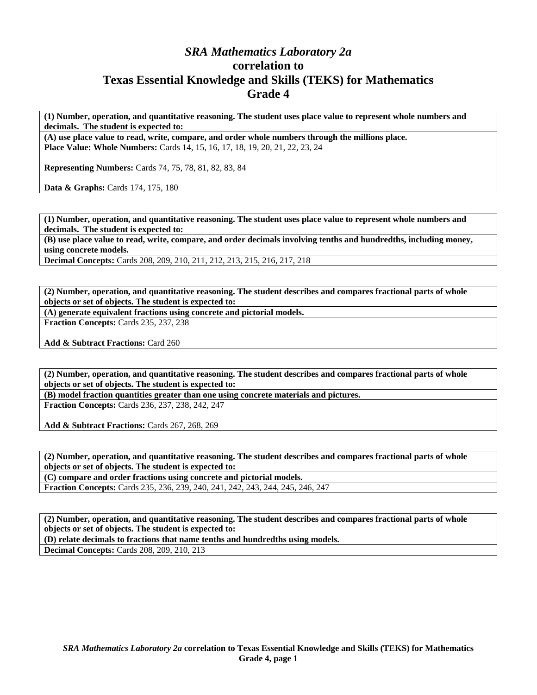## *SRA Mathematics Laboratory 2a*  **correlation to Texas Essential Knowledge and Skills (TEKS) for Mathematics Grade 4**

**(1) Number, operation, and quantitative reasoning. The student uses place value to represent whole numbers and decimals. The student is expected to:** 

**(A) use place value to read, write, compare, and order whole numbers through the millions place. Place Value: Whole Numbers:** Cards 14, 15, 16, 17, 18, 19, 20, 21, 22, 23, 24

**Representing Numbers:** Cards 74, 75, 78, 81, 82, 83, 84

Data & Graphs: Cards 174, 175, 180

**(1) Number, operation, and quantitative reasoning. The student uses place value to represent whole numbers and decimals. The student is expected to:** 

**(B) use place value to read, write, compare, and order decimals involving tenths and hundredths, including money, using concrete models.** 

**Decimal Concepts:** Cards 208, 209, 210, 211, 212, 213, 215, 216, 217, 218

**(2) Number, operation, and quantitative reasoning. The student describes and compares fractional parts of whole objects or set of objects. The student is expected to:** 

**(A) generate equivalent fractions using concrete and pictorial models.** 

**Fraction Concepts:** Cards 235, 237, 238

Add & Subtract Fractions: Card 260

**(2) Number, operation, and quantitative reasoning. The student describes and compares fractional parts of whole objects or set of objects. The student is expected to:** 

**(B) model fraction quantities greater than one using concrete materials and pictures.** 

**Fraction Concepts:** Cards 236, 237, 238, 242, 247

**Add & Subtract Fractions:** Cards 267, 268, 269

**(2) Number, operation, and quantitative reasoning. The student describes and compares fractional parts of whole objects or set of objects. The student is expected to:** 

**(C) compare and order fractions using concrete and pictorial models.** 

**Fraction Concepts:** Cards 235, 236, 239, 240, 241, 242, 243, 244, 245, 246, 247

**(2) Number, operation, and quantitative reasoning. The student describes and compares fractional parts of whole objects or set of objects. The student is expected to:** 

**(D) relate decimals to fractions that name tenths and hundredths using models.** 

**Decimal Concepts:** Cards 208, 209, 210, 213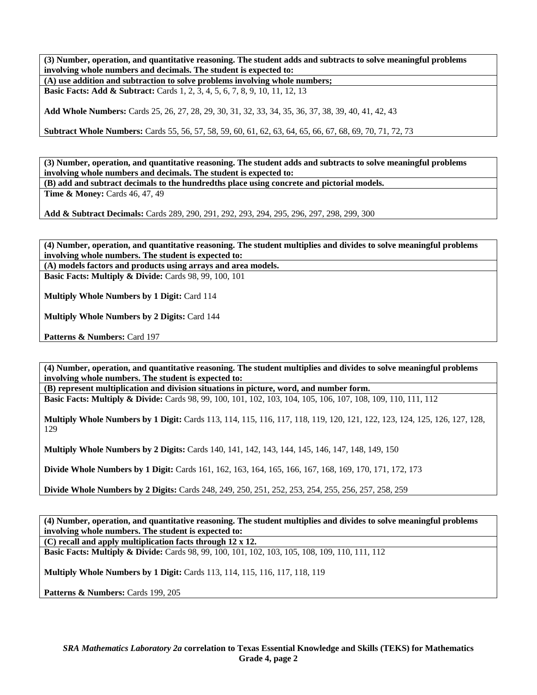**(3) Number, operation, and quantitative reasoning. The student adds and subtracts to solve meaningful problems involving whole numbers and decimals. The student is expected to:** 

**(A) use addition and subtraction to solve problems involving whole numbers; Basic Facts: Add & Subtract:** Cards 1, 2, 3, 4, 5, 6, 7, 8, 9, 10, 11, 12, 13

**Add Whole Numbers:** Cards 25, 26, 27, 28, 29, 30, 31, 32, 33, 34, 35, 36, 37, 38, 39, 40, 41, 42, 43

**Subtract Whole Numbers:** Cards 55, 56, 57, 58, 59, 60, 61, 62, 63, 64, 65, 66, 67, 68, 69, 70, 71, 72, 73

**(3) Number, operation, and quantitative reasoning. The student adds and subtracts to solve meaningful problems involving whole numbers and decimals. The student is expected to:** 

**(B) add and subtract decimals to the hundredths place using concrete and pictorial models.** 

**Time & Money: Cards 46, 47, 49** 

**Add & Subtract Decimals:** Cards 289, 290, 291, 292, 293, 294, 295, 296, 297, 298, 299, 300

**(4) Number, operation, and quantitative reasoning. The student multiplies and divides to solve meaningful problems involving whole numbers. The student is expected to:** 

**(A) models factors and products using arrays and area models.** 

**Basic Facts: Multiply & Divide: Cards 98, 99, 100, 101** 

**Multiply Whole Numbers by 1 Digit:** Card 114

**Multiply Whole Numbers by 2 Digits:** Card 144

Patterns & Numbers: Card 197

**(4) Number, operation, and quantitative reasoning. The student multiplies and divides to solve meaningful problems involving whole numbers. The student is expected to:** 

**(B) represent multiplication and division situations in picture, word, and number form.** 

**Basic Facts: Multiply & Divide:** Cards 98, 99, 100, 101, 102, 103, 104, 105, 106, 107, 108, 109, 110, 111, 112

**Multiply Whole Numbers by 1 Digit:** Cards 113, 114, 115, 116, 117, 118, 119, 120, 121, 122, 123, 124, 125, 126, 127, 128, 129

**Multiply Whole Numbers by 2 Digits:** Cards 140, 141, 142, 143, 144, 145, 146, 147, 148, 149, 150

**Divide Whole Numbers by 1 Digit:** Cards 161, 162, 163, 164, 165, 166, 167, 168, 169, 170, 171, 172, 173

**Divide Whole Numbers by 2 Digits:** Cards 248, 249, 250, 251, 252, 253, 254, 255, 256, 257, 258, 259

**(4) Number, operation, and quantitative reasoning. The student multiplies and divides to solve meaningful problems involving whole numbers. The student is expected to: (C) recall and apply multiplication facts through 12 x 12.** 

**Basic Facts: Multiply & Divide:** Cards 98, 99, 100, 101, 102, 103, 105, 108, 109, 110, 111, 112

**Multiply Whole Numbers by 1 Digit:** Cards 113, 114, 115, 116, 117, 118, 119

Patterns & Numbers: Cards 199, 205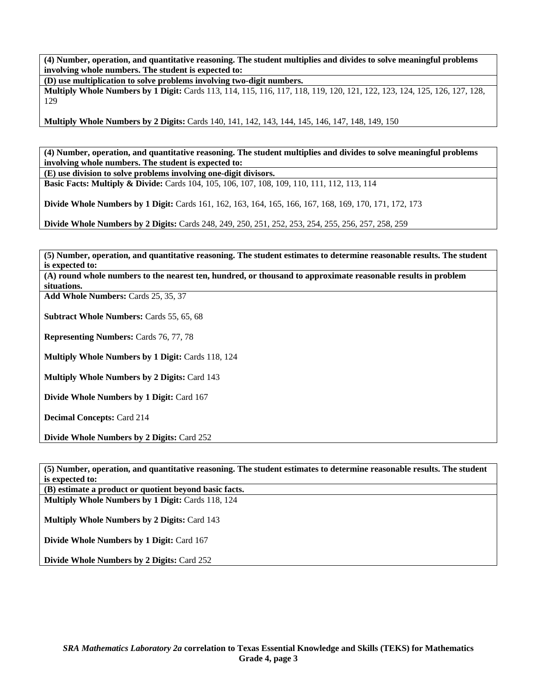**(4) Number, operation, and quantitative reasoning. The student multiplies and divides to solve meaningful problems involving whole numbers. The student is expected to:** 

**(D) use multiplication to solve problems involving two-digit numbers.** 

**Multiply Whole Numbers by 1 Digit:** Cards 113, 114, 115, 116, 117, 118, 119, 120, 121, 122, 123, 124, 125, 126, 127, 128, 129

**Multiply Whole Numbers by 2 Digits:** Cards 140, 141, 142, 143, 144, 145, 146, 147, 148, 149, 150

**(4) Number, operation, and quantitative reasoning. The student multiplies and divides to solve meaningful problems involving whole numbers. The student is expected to:** 

**(E) use division to solve problems involving one-digit divisors. Basic Facts: Multiply & Divide:** Cards 104, 105, 106, 107, 108, 109, 110, 111, 112, 113, 114

**Divide Whole Numbers by 1 Digit:** Cards 161, 162, 163, 164, 165, 166, 167, 168, 169, 170, 171, 172, 173

**Divide Whole Numbers by 2 Digits:** Cards 248, 249, 250, 251, 252, 253, 254, 255, 256, 257, 258, 259

**(5) Number, operation, and quantitative reasoning. The student estimates to determine reasonable results. The student is expected to:** 

**(A) round whole numbers to the nearest ten, hundred, or thousand to approximate reasonable results in problem situations.** 

**Add Whole Numbers:** Cards 25, 35, 37

**Subtract Whole Numbers:** Cards 55, 65, 68

**Representing Numbers:** Cards 76, 77, 78

**Multiply Whole Numbers by 1 Digit:** Cards 118, 124

**Multiply Whole Numbers by 2 Digits:** Card 143

**Divide Whole Numbers by 1 Digit:** Card 167

**Decimal Concepts:** Card 214

**Divide Whole Numbers by 2 Digits:** Card 252

| (5) Number, operation, and quantitative reasoning. The student estimates to determine reasonable results. The student<br>is expected to: |
|------------------------------------------------------------------------------------------------------------------------------------------|
| (B) estimate a product or quotient beyond basic facts.                                                                                   |
| <b>Multiply Whole Numbers by 1 Digit: Cards 118, 124</b>                                                                                 |
| <b>Multiply Whole Numbers by 2 Digits: Card 143</b>                                                                                      |
| <b>Divide Whole Numbers by 1 Digit: Card 167</b>                                                                                         |
| <b>Divide Whole Numbers by 2 Digits: Card 252</b>                                                                                        |
|                                                                                                                                          |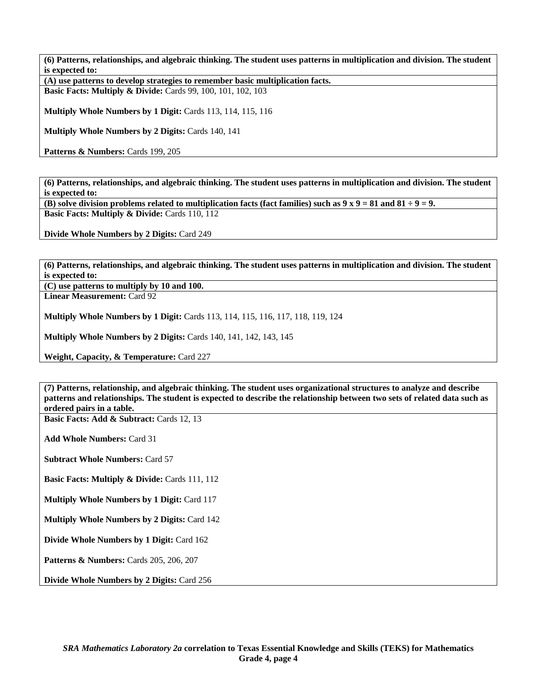**(6) Patterns, relationships, and algebraic thinking. The student uses patterns in multiplication and division. The student is expected to:** 

**(A) use patterns to develop strategies to remember basic multiplication facts. Basic Facts: Multiply & Divide: Cards 99, 100, 101, 102, 103** 

**Multiply Whole Numbers by 1 Digit:** Cards 113, 114, 115, 116

**Multiply Whole Numbers by 2 Digits:** Cards 140, 141

Patterns & Numbers: Cards 199, 205

**(6) Patterns, relationships, and algebraic thinking. The student uses patterns in multiplication and division. The student is expected to:** 

**(B) solve division problems related to multiplication facts (fact families) such as**  $9 \times 9 = 81$  **and**  $81 \div 9 = 9$ **. Basic Facts: Multiply & Divide: Cards 110, 112** 

**Divide Whole Numbers by 2 Digits:** Card 249

**(6) Patterns, relationships, and algebraic thinking. The student uses patterns in multiplication and division. The student is expected to:** 

**(C) use patterns to multiply by 10 and 100.** 

**Linear Measurement:** Card 92

**Multiply Whole Numbers by 1 Digit:** Cards 113, 114, 115, 116, 117, 118, 119, 124

**Multiply Whole Numbers by 2 Digits:** Cards 140, 141, 142, 143, 145

**Weight, Capacity, & Temperature:** Card 227

**(7) Patterns, relationship, and algebraic thinking. The student uses organizational structures to analyze and describe patterns and relationships. The student is expected to describe the relationship between two sets of related data such as ordered pairs in a table.** 

Basic Facts: Add & Subtract: Cards 12, 13

**Add Whole Numbers:** Card 31

**Subtract Whole Numbers:** Card 57

**Basic Facts: Multiply & Divide: Cards 111, 112** 

**Multiply Whole Numbers by 1 Digit:** Card 117

**Multiply Whole Numbers by 2 Digits:** Card 142

**Divide Whole Numbers by 1 Digit:** Card 162

**Patterns & Numbers:** Cards 205, 206, 207

**Divide Whole Numbers by 2 Digits:** Card 256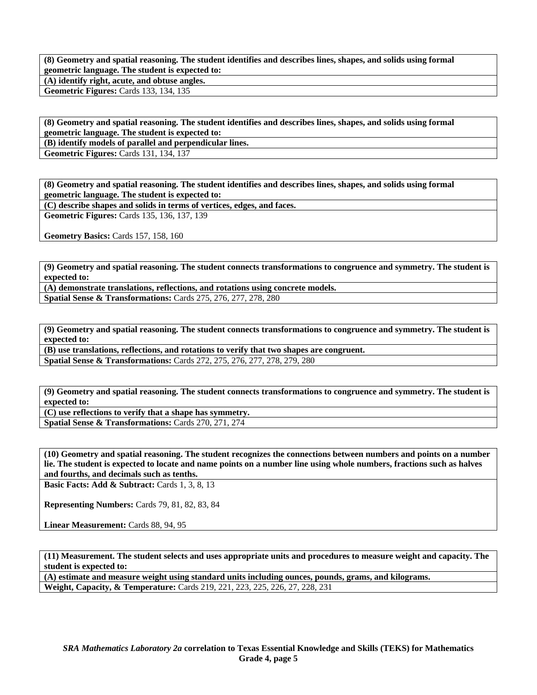**(8) Geometry and spatial reasoning. The student identifies and describes lines, shapes, and solids using formal geometric language. The student is expected to: (A) identify right, acute, and obtuse angles.** 

**Geometric Figures:** Cards 133, 134, 135

**(8) Geometry and spatial reasoning. The student identifies and describes lines, shapes, and solids using formal geometric language. The student is expected to:** 

**(B) identify models of parallel and perpendicular lines.** 

**Geometric Figures:** Cards 131, 134, 137

**(8) Geometry and spatial reasoning. The student identifies and describes lines, shapes, and solids using formal geometric language. The student is expected to:** 

**(C) describe shapes and solids in terms of vertices, edges, and faces.** 

**Geometric Figures:** Cards 135, 136, 137, 139

**Geometry Basics:** Cards 157, 158, 160

**(9) Geometry and spatial reasoning. The student connects transformations to congruence and symmetry. The student is expected to:** 

**(A) demonstrate translations, reflections, and rotations using concrete models. Spatial Sense & Transformations:** Cards 275, 276, 277, 278, 280

**(9) Geometry and spatial reasoning. The student connects transformations to congruence and symmetry. The student is expected to:** 

**(B) use translations, reflections, and rotations to verify that two shapes are congruent.** 

**Spatial Sense & Transformations:** Cards 272, 275, 276, 277, 278, 279, 280

**(9) Geometry and spatial reasoning. The student connects transformations to congruence and symmetry. The student is expected to:** 

**(C) use reflections to verify that a shape has symmetry.** 

**Spatial Sense & Transformations:** Cards 270, 271, 274

**(10) Geometry and spatial reasoning. The student recognizes the connections between numbers and points on a number lie. The student is expected to locate and name points on a number line using whole numbers, fractions such as halves and fourths, and decimals such as tenths.** 

**Basic Facts: Add & Subtract: Cards 1, 3, 8, 13** 

**Representing Numbers:** Cards 79, 81, 82, 83, 84

Linear Measurement: Cards 88, 94, 95

**(11) Measurement. The student selects and uses appropriate units and procedures to measure weight and capacity. The student is expected to:** 

**(A) estimate and measure weight using standard units including ounces, pounds, grams, and kilograms. Weight, Capacity, & Temperature:** Cards 219, 221, 223, 225, 226, 27, 228, 231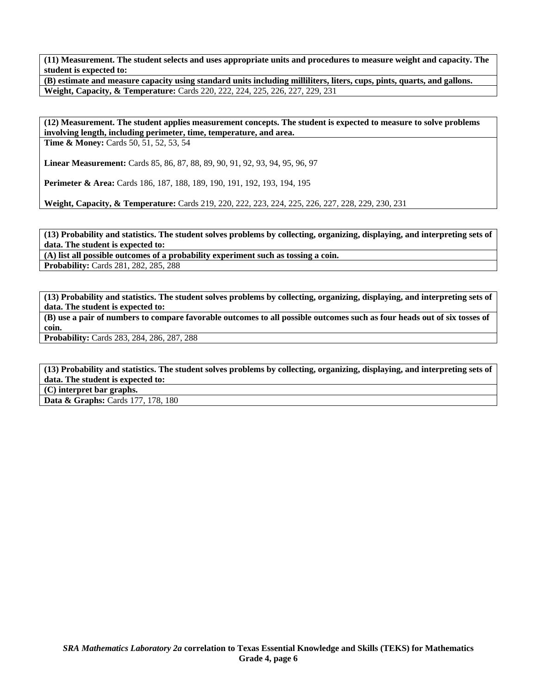**(11) Measurement. The student selects and uses appropriate units and procedures to measure weight and capacity. The student is expected to:** 

**(B) estimate and measure capacity using standard units including milliliters, liters, cups, pints, quarts, and gallons. Weight, Capacity, & Temperature:** Cards 220, 222, 224, 225, 226, 227, 229, 231

**(12) Measurement. The student applies measurement concepts. The student is expected to measure to solve problems involving length, including perimeter, time, temperature, and area.** 

**Time & Money:** Cards 50, 51, 52, 53, 54

**Linear Measurement:** Cards 85, 86, 87, 88, 89, 90, 91, 92, 93, 94, 95, 96, 97

**Perimeter & Area:** Cards 186, 187, 188, 189, 190, 191, 192, 193, 194, 195

**Weight, Capacity, & Temperature:** Cards 219, 220, 222, 223, 224, 225, 226, 227, 228, 229, 230, 231

**(13) Probability and statistics. The student solves problems by collecting, organizing, displaying, and interpreting sets of data. The student is expected to:** 

**(A) list all possible outcomes of a probability experiment such as tossing a coin.** 

**Probability:** Cards 281, 282, 285, 288

**(13) Probability and statistics. The student solves problems by collecting, organizing, displaying, and interpreting sets of data. The student is expected to:** 

**(B) use a pair of numbers to compare favorable outcomes to all possible outcomes such as four heads out of six tosses of coin.** 

**Probability:** Cards 283, 284, 286, 287, 288

**(13) Probability and statistics. The student solves problems by collecting, organizing, displaying, and interpreting sets of data. The student is expected to:** 

**(C) interpret bar graphs.** 

Data & Graphs: Cards 177, 178, 180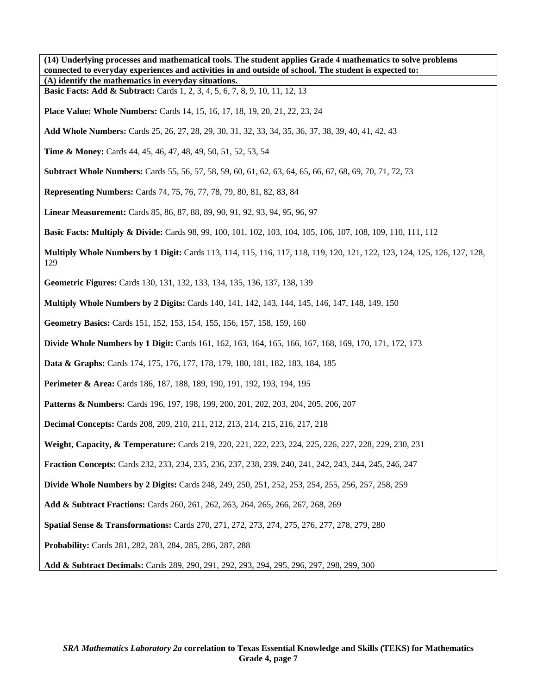**(14) Underlying processes and mathematical tools. The student applies Grade 4 mathematics to solve problems connected to everyday experiences and activities in and outside of school. The student is expected to: (A) identify the mathematics in everyday situations. Basic Facts: Add & Subtract:** Cards 1, 2, 3, 4, 5, 6, 7, 8, 9, 10, 11, 12, 13 **Place Value: Whole Numbers:** Cards 14, 15, 16, 17, 18, 19, 20, 21, 22, 23, 24 **Add Whole Numbers:** Cards 25, 26, 27, 28, 29, 30, 31, 32, 33, 34, 35, 36, 37, 38, 39, 40, 41, 42, 43 **Time & Money:** Cards 44, 45, 46, 47, 48, 49, 50, 51, 52, 53, 54 **Subtract Whole Numbers:** Cards 55, 56, 57, 58, 59, 60, 61, 62, 63, 64, 65, 66, 67, 68, 69, 70, 71, 72, 73 **Representing Numbers:** Cards 74, 75, 76, 77, 78, 79, 80, 81, 82, 83, 84 **Linear Measurement:** Cards 85, 86, 87, 88, 89, 90, 91, 92, 93, 94, 95, 96, 97 **Basic Facts: Multiply & Divide:** Cards 98, 99, 100, 101, 102, 103, 104, 105, 106, 107, 108, 109, 110, 111, 112 **Multiply Whole Numbers by 1 Digit:** Cards 113, 114, 115, 116, 117, 118, 119, 120, 121, 122, 123, 124, 125, 126, 127, 128, 129 **Geometric Figures:** Cards 130, 131, 132, 133, 134, 135, 136, 137, 138, 139 **Multiply Whole Numbers by 2 Digits:** Cards 140, 141, 142, 143, 144, 145, 146, 147, 148, 149, 150 **Geometry Basics:** Cards 151, 152, 153, 154, 155, 156, 157, 158, 159, 160 **Divide Whole Numbers by 1 Digit:** Cards 161, 162, 163, 164, 165, 166, 167, 168, 169, 170, 171, 172, 173 **Data & Graphs:** Cards 174, 175, 176, 177, 178, 179, 180, 181, 182, 183, 184, 185 **Perimeter & Area:** Cards 186, 187, 188, 189, 190, 191, 192, 193, 194, 195 **Patterns & Numbers:** Cards 196, 197, 198, 199, 200, 201, 202, 203, 204, 205, 206, 207 **Decimal Concepts:** Cards 208, 209, 210, 211, 212, 213, 214, 215, 216, 217, 218 **Weight, Capacity, & Temperature:** Cards 219, 220, 221, 222, 223, 224, 225, 226, 227, 228, 229, 230, 231 **Fraction Concepts:** Cards 232, 233, 234, 235, 236, 237, 238, 239, 240, 241, 242, 243, 244, 245, 246, 247 **Divide Whole Numbers by 2 Digits:** Cards 248, 249, 250, 251, 252, 253, 254, 255, 256, 257, 258, 259 **Add & Subtract Fractions:** Cards 260, 261, 262, 263, 264, 265, 266, 267, 268, 269 **Spatial Sense & Transformations:** Cards 270, 271, 272, 273, 274, 275, 276, 277, 278, 279, 280 **Probability:** Cards 281, 282, 283, 284, 285, 286, 287, 288 **Add & Subtract Decimals:** Cards 289, 290, 291, 292, 293, 294, 295, 296, 297, 298, 299, 300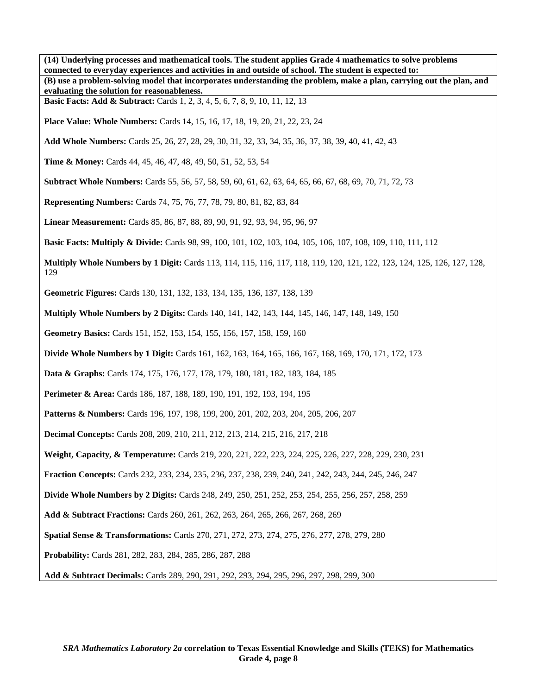**(14) Underlying processes and mathematical tools. The student applies Grade 4 mathematics to solve problems connected to everyday experiences and activities in and outside of school. The student is expected to: (B) use a problem-solving model that incorporates understanding the problem, make a plan, carrying out the plan, and evaluating the solution for reasonableness. Basic Facts: Add & Subtract:** Cards 1, 2, 3, 4, 5, 6, 7, 8, 9, 10, 11, 12, 13 **Place Value: Whole Numbers:** Cards 14, 15, 16, 17, 18, 19, 20, 21, 22, 23, 24 **Add Whole Numbers:** Cards 25, 26, 27, 28, 29, 30, 31, 32, 33, 34, 35, 36, 37, 38, 39, 40, 41, 42, 43 **Time & Money:** Cards 44, 45, 46, 47, 48, 49, 50, 51, 52, 53, 54 **Subtract Whole Numbers:** Cards 55, 56, 57, 58, 59, 60, 61, 62, 63, 64, 65, 66, 67, 68, 69, 70, 71, 72, 73 **Representing Numbers:** Cards 74, 75, 76, 77, 78, 79, 80, 81, 82, 83, 84 **Linear Measurement:** Cards 85, 86, 87, 88, 89, 90, 91, 92, 93, 94, 95, 96, 97 **Basic Facts: Multiply & Divide:** Cards 98, 99, 100, 101, 102, 103, 104, 105, 106, 107, 108, 109, 110, 111, 112 **Multiply Whole Numbers by 1 Digit:** Cards 113, 114, 115, 116, 117, 118, 119, 120, 121, 122, 123, 124, 125, 126, 127, 128, 129 **Geometric Figures:** Cards 130, 131, 132, 133, 134, 135, 136, 137, 138, 139 **Multiply Whole Numbers by 2 Digits:** Cards 140, 141, 142, 143, 144, 145, 146, 147, 148, 149, 150 **Geometry Basics:** Cards 151, 152, 153, 154, 155, 156, 157, 158, 159, 160 **Divide Whole Numbers by 1 Digit:** Cards 161, 162, 163, 164, 165, 166, 167, 168, 169, 170, 171, 172, 173 **Data & Graphs:** Cards 174, 175, 176, 177, 178, 179, 180, 181, 182, 183, 184, 185 **Perimeter & Area:** Cards 186, 187, 188, 189, 190, 191, 192, 193, 194, 195 **Patterns & Numbers:** Cards 196, 197, 198, 199, 200, 201, 202, 203, 204, 205, 206, 207 **Decimal Concepts:** Cards 208, 209, 210, 211, 212, 213, 214, 215, 216, 217, 218 **Weight, Capacity, & Temperature:** Cards 219, 220, 221, 222, 223, 224, 225, 226, 227, 228, 229, 230, 231 **Fraction Concepts:** Cards 232, 233, 234, 235, 236, 237, 238, 239, 240, 241, 242, 243, 244, 245, 246, 247 **Divide Whole Numbers by 2 Digits:** Cards 248, 249, 250, 251, 252, 253, 254, 255, 256, 257, 258, 259 **Add & Subtract Fractions:** Cards 260, 261, 262, 263, 264, 265, 266, 267, 268, 269 **Spatial Sense & Transformations:** Cards 270, 271, 272, 273, 274, 275, 276, 277, 278, 279, 280 **Probability:** Cards 281, 282, 283, 284, 285, 286, 287, 288 **Add & Subtract Decimals:** Cards 289, 290, 291, 292, 293, 294, 295, 296, 297, 298, 299, 300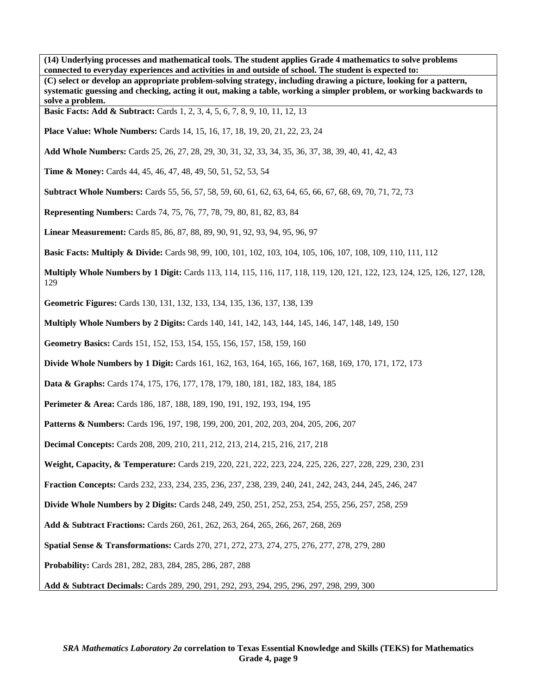**(14) Underlying processes and mathematical tools. The student applies Grade 4 mathematics to solve problems connected to everyday experiences and activities in and outside of school. The student is expected to: (C) select or develop an appropriate problem-solving strategy, including drawing a picture, looking for a pattern, systematic guessing and checking, acting it out, making a table, working a simpler problem, or working backwards to solve a problem. Basic Facts: Add & Subtract:** Cards 1, 2, 3, 4, 5, 6, 7, 8, 9, 10, 11, 12, 13 **Place Value: Whole Numbers:** Cards 14, 15, 16, 17, 18, 19, 20, 21, 22, 23, 24 **Add Whole Numbers:** Cards 25, 26, 27, 28, 29, 30, 31, 32, 33, 34, 35, 36, 37, 38, 39, 40, 41, 42, 43 **Time & Money:** Cards 44, 45, 46, 47, 48, 49, 50, 51, 52, 53, 54 **Subtract Whole Numbers:** Cards 55, 56, 57, 58, 59, 60, 61, 62, 63, 64, 65, 66, 67, 68, 69, 70, 71, 72, 73 **Representing Numbers:** Cards 74, 75, 76, 77, 78, 79, 80, 81, 82, 83, 84 **Linear Measurement:** Cards 85, 86, 87, 88, 89, 90, 91, 92, 93, 94, 95, 96, 97 **Basic Facts: Multiply & Divide:** Cards 98, 99, 100, 101, 102, 103, 104, 105, 106, 107, 108, 109, 110, 111, 112 **Multiply Whole Numbers by 1 Digit:** Cards 113, 114, 115, 116, 117, 118, 119, 120, 121, 122, 123, 124, 125, 126, 127, 128, 129 **Geometric Figures:** Cards 130, 131, 132, 133, 134, 135, 136, 137, 138, 139 **Multiply Whole Numbers by 2 Digits:** Cards 140, 141, 142, 143, 144, 145, 146, 147, 148, 149, 150 **Geometry Basics:** Cards 151, 152, 153, 154, 155, 156, 157, 158, 159, 160 **Divide Whole Numbers by 1 Digit:** Cards 161, 162, 163, 164, 165, 166, 167, 168, 169, 170, 171, 172, 173 **Data & Graphs:** Cards 174, 175, 176, 177, 178, 179, 180, 181, 182, 183, 184, 185 **Perimeter & Area:** Cards 186, 187, 188, 189, 190, 191, 192, 193, 194, 195 **Patterns & Numbers:** Cards 196, 197, 198, 199, 200, 201, 202, 203, 204, 205, 206, 207 **Decimal Concepts:** Cards 208, 209, 210, 211, 212, 213, 214, 215, 216, 217, 218 **Weight, Capacity, & Temperature:** Cards 219, 220, 221, 222, 223, 224, 225, 226, 227, 228, 229, 230, 231 **Fraction Concepts:** Cards 232, 233, 234, 235, 236, 237, 238, 239, 240, 241, 242, 243, 244, 245, 246, 247 **Divide Whole Numbers by 2 Digits:** Cards 248, 249, 250, 251, 252, 253, 254, 255, 256, 257, 258, 259 **Add & Subtract Fractions:** Cards 260, 261, 262, 263, 264, 265, 266, 267, 268, 269 **Spatial Sense & Transformations:** Cards 270, 271, 272, 273, 274, 275, 276, 277, 278, 279, 280 **Probability:** Cards 281, 282, 283, 284, 285, 286, 287, 288 **Add & Subtract Decimals:** Cards 289, 290, 291, 292, 293, 294, 295, 296, 297, 298, 299, 300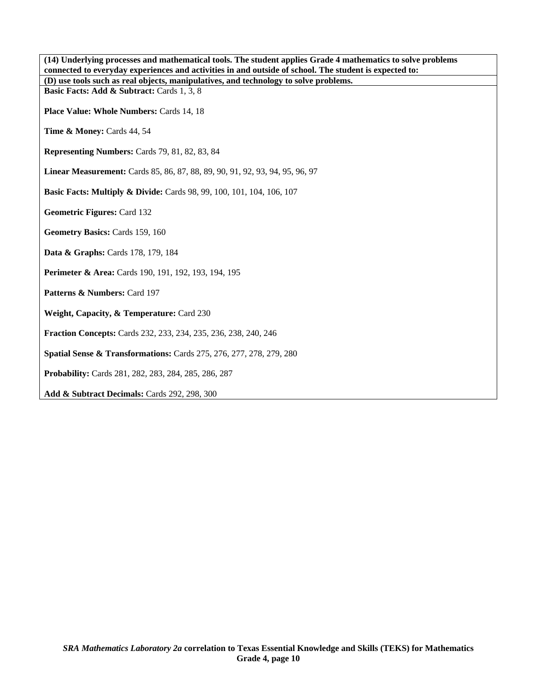| (14) Underlying processes and mathematical tools. The student applies Grade 4 mathematics to solve problems<br>connected to everyday experiences and activities in and outside of school. The student is expected to: |
|-----------------------------------------------------------------------------------------------------------------------------------------------------------------------------------------------------------------------|
| (D) use tools such as real objects, manipulatives, and technology to solve problems.                                                                                                                                  |
| Basic Facts: Add & Subtract: Cards 1, 3, 8                                                                                                                                                                            |
| Place Value: Whole Numbers: Cards 14, 18                                                                                                                                                                              |
| Time & Money: Cards 44, 54                                                                                                                                                                                            |
| Representing Numbers: Cards 79, 81, 82, 83, 84                                                                                                                                                                        |
| Linear Measurement: Cards 85, 86, 87, 88, 89, 90, 91, 92, 93, 94, 95, 96, 97                                                                                                                                          |
| <b>Basic Facts: Multiply &amp; Divide:</b> Cards 98, 99, 100, 101, 104, 106, 107                                                                                                                                      |
| <b>Geometric Figures: Card 132</b>                                                                                                                                                                                    |
| Geometry Basics: Cards 159, 160                                                                                                                                                                                       |
| Data & Graphs: Cards 178, 179, 184                                                                                                                                                                                    |
| <b>Perimeter &amp; Area:</b> Cards 190, 191, 192, 193, 194, 195                                                                                                                                                       |
| Patterns & Numbers: Card 197                                                                                                                                                                                          |
| Weight, Capacity, & Temperature: Card 230                                                                                                                                                                             |
| <b>Fraction Concepts: Cards 232, 233, 234, 235, 236, 238, 240, 246</b>                                                                                                                                                |
| <b>Spatial Sense &amp; Transformations:</b> Cards 275, 276, 277, 278, 279, 280                                                                                                                                        |
| Probability: Cards 281, 282, 283, 284, 285, 286, 287                                                                                                                                                                  |
| Add & Subtract Decimals: Cards 292, 298, 300                                                                                                                                                                          |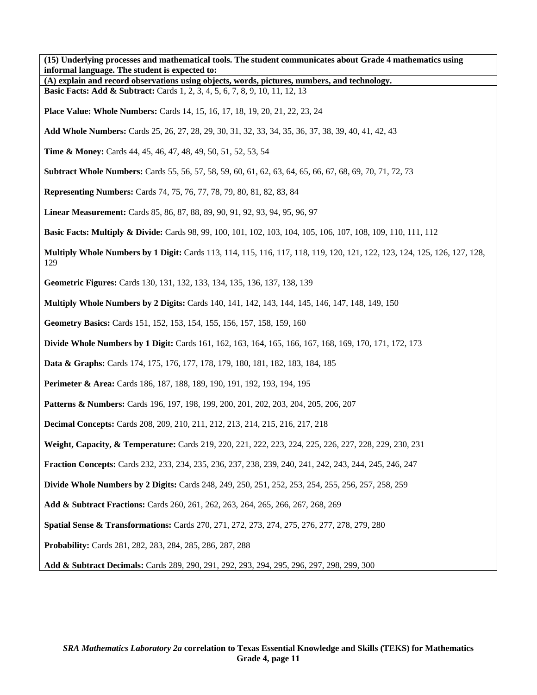**(15) Underlying processes and mathematical tools. The student communicates about Grade 4 mathematics using informal language. The student is expected to: (A) explain and record observations using objects, words, pictures, numbers, and technology. Basic Facts: Add & Subtract:** Cards 1, 2, 3, 4, 5, 6, 7, 8, 9, 10, 11, 12, 13 **Place Value: Whole Numbers:** Cards 14, 15, 16, 17, 18, 19, 20, 21, 22, 23, 24 **Add Whole Numbers:** Cards 25, 26, 27, 28, 29, 30, 31, 32, 33, 34, 35, 36, 37, 38, 39, 40, 41, 42, 43 **Time & Money:** Cards 44, 45, 46, 47, 48, 49, 50, 51, 52, 53, 54 **Subtract Whole Numbers:** Cards 55, 56, 57, 58, 59, 60, 61, 62, 63, 64, 65, 66, 67, 68, 69, 70, 71, 72, 73 **Representing Numbers:** Cards 74, 75, 76, 77, 78, 79, 80, 81, 82, 83, 84 **Linear Measurement:** Cards 85, 86, 87, 88, 89, 90, 91, 92, 93, 94, 95, 96, 97 **Basic Facts: Multiply & Divide:** Cards 98, 99, 100, 101, 102, 103, 104, 105, 106, 107, 108, 109, 110, 111, 112 **Multiply Whole Numbers by 1 Digit:** Cards 113, 114, 115, 116, 117, 118, 119, 120, 121, 122, 123, 124, 125, 126, 127, 128, 129 **Geometric Figures:** Cards 130, 131, 132, 133, 134, 135, 136, 137, 138, 139 **Multiply Whole Numbers by 2 Digits:** Cards 140, 141, 142, 143, 144, 145, 146, 147, 148, 149, 150 **Geometry Basics:** Cards 151, 152, 153, 154, 155, 156, 157, 158, 159, 160 **Divide Whole Numbers by 1 Digit:** Cards 161, 162, 163, 164, 165, 166, 167, 168, 169, 170, 171, 172, 173 **Data & Graphs:** Cards 174, 175, 176, 177, 178, 179, 180, 181, 182, 183, 184, 185 **Perimeter & Area:** Cards 186, 187, 188, 189, 190, 191, 192, 193, 194, 195 **Patterns & Numbers:** Cards 196, 197, 198, 199, 200, 201, 202, 203, 204, 205, 206, 207 **Decimal Concepts:** Cards 208, 209, 210, 211, 212, 213, 214, 215, 216, 217, 218 **Weight, Capacity, & Temperature:** Cards 219, 220, 221, 222, 223, 224, 225, 226, 227, 228, 229, 230, 231 **Fraction Concepts:** Cards 232, 233, 234, 235, 236, 237, 238, 239, 240, 241, 242, 243, 244, 245, 246, 247 **Divide Whole Numbers by 2 Digits:** Cards 248, 249, 250, 251, 252, 253, 254, 255, 256, 257, 258, 259 **Add & Subtract Fractions:** Cards 260, 261, 262, 263, 264, 265, 266, 267, 268, 269 **Spatial Sense & Transformations:** Cards 270, 271, 272, 273, 274, 275, 276, 277, 278, 279, 280 **Probability:** Cards 281, 282, 283, 284, 285, 286, 287, 288 **Add & Subtract Decimals:** Cards 289, 290, 291, 292, 293, 294, 295, 296, 297, 298, 299, 300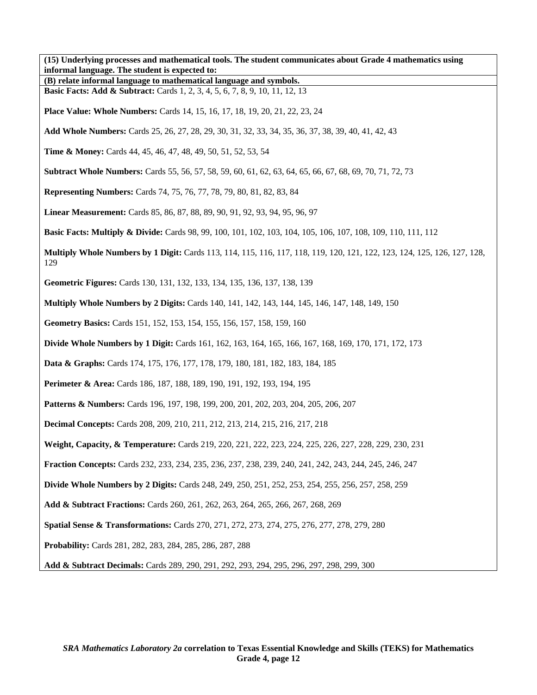**(15) Underlying processes and mathematical tools. The student communicates about Grade 4 mathematics using informal language. The student is expected to:** 

**(B) relate informal language to mathematical language and symbols. Basic Facts: Add & Subtract:** Cards 1, 2, 3, 4, 5, 6, 7, 8, 9, 10, 11, 12, 13

**Place Value: Whole Numbers:** Cards 14, 15, 16, 17, 18, 19, 20, 21, 22, 23, 24

**Add Whole Numbers:** Cards 25, 26, 27, 28, 29, 30, 31, 32, 33, 34, 35, 36, 37, 38, 39, 40, 41, 42, 43

**Time & Money:** Cards 44, 45, 46, 47, 48, 49, 50, 51, 52, 53, 54

**Subtract Whole Numbers:** Cards 55, 56, 57, 58, 59, 60, 61, 62, 63, 64, 65, 66, 67, 68, 69, 70, 71, 72, 73

**Representing Numbers:** Cards 74, 75, 76, 77, 78, 79, 80, 81, 82, 83, 84

**Linear Measurement:** Cards 85, 86, 87, 88, 89, 90, 91, 92, 93, 94, 95, 96, 97

**Basic Facts: Multiply & Divide:** Cards 98, 99, 100, 101, 102, 103, 104, 105, 106, 107, 108, 109, 110, 111, 112

**Multiply Whole Numbers by 1 Digit:** Cards 113, 114, 115, 116, 117, 118, 119, 120, 121, 122, 123, 124, 125, 126, 127, 128, 129

**Geometric Figures:** Cards 130, 131, 132, 133, 134, 135, 136, 137, 138, 139

**Multiply Whole Numbers by 2 Digits:** Cards 140, 141, 142, 143, 144, 145, 146, 147, 148, 149, 150

**Geometry Basics:** Cards 151, 152, 153, 154, 155, 156, 157, 158, 159, 160

**Divide Whole Numbers by 1 Digit:** Cards 161, 162, 163, 164, 165, 166, 167, 168, 169, 170, 171, 172, 173

**Data & Graphs:** Cards 174, 175, 176, 177, 178, 179, 180, 181, 182, 183, 184, 185

**Perimeter & Area:** Cards 186, 187, 188, 189, 190, 191, 192, 193, 194, 195

**Patterns & Numbers:** Cards 196, 197, 198, 199, 200, 201, 202, 203, 204, 205, 206, 207

**Decimal Concepts:** Cards 208, 209, 210, 211, 212, 213, 214, 215, 216, 217, 218

**Weight, Capacity, & Temperature:** Cards 219, 220, 221, 222, 223, 224, 225, 226, 227, 228, 229, 230, 231

**Fraction Concepts:** Cards 232, 233, 234, 235, 236, 237, 238, 239, 240, 241, 242, 243, 244, 245, 246, 247

**Divide Whole Numbers by 2 Digits:** Cards 248, 249, 250, 251, 252, 253, 254, 255, 256, 257, 258, 259

**Add & Subtract Fractions:** Cards 260, 261, 262, 263, 264, 265, 266, 267, 268, 269

**Spatial Sense & Transformations:** Cards 270, 271, 272, 273, 274, 275, 276, 277, 278, 279, 280

**Probability:** Cards 281, 282, 283, 284, 285, 286, 287, 288

**Add & Subtract Decimals:** Cards 289, 290, 291, 292, 293, 294, 295, 296, 297, 298, 299, 300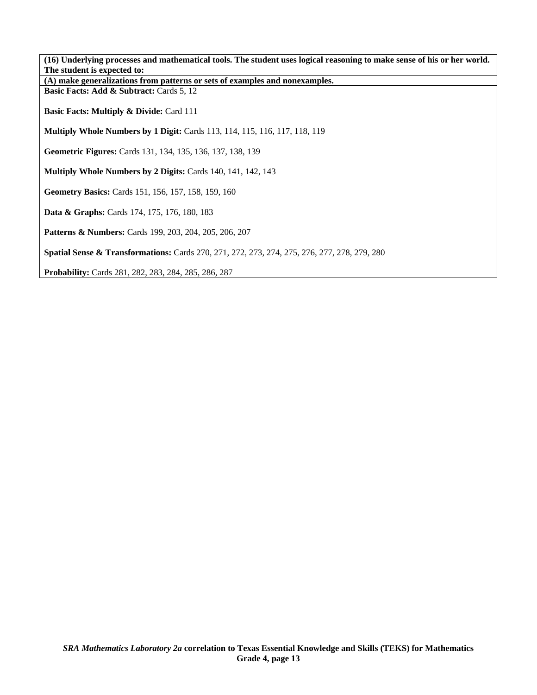| (16) Underlying processes and mathematical tools. The student uses logical reasoning to make sense of his or her world. |
|-------------------------------------------------------------------------------------------------------------------------|
| The student is expected to:                                                                                             |
| (A) make generalizations from patterns or sets of examples and nonexamples.                                             |
| Basic Facts: Add & Subtract: Cards 5, 12                                                                                |
| <b>Basic Facts: Multiply &amp; Divide: Card 111</b>                                                                     |
| <b>Multiply Whole Numbers by 1 Digit:</b> Cards 113, 114, 115, 116, 117, 118, 119                                       |
| <b>Geometric Figures:</b> Cards 131, 134, 135, 136, 137, 138, 139                                                       |
| Multiply Whole Numbers by 2 Digits: Cards 140, 141, 142, 143                                                            |
| Geometry Basics: Cards 151, 156, 157, 158, 159, 160                                                                     |
| Data & Graphs: Cards 174, 175, 176, 180, 183                                                                            |
| <b>Patterns &amp; Numbers:</b> Cards 199, 203, 204, 205, 206, 207                                                       |
| Spatial Sense & Transformations: Cards 270, 271, 272, 273, 274, 275, 276, 277, 278, 279, 280                            |
| Probability: Cards 281, 282, 283, 284, 285, 286, 287                                                                    |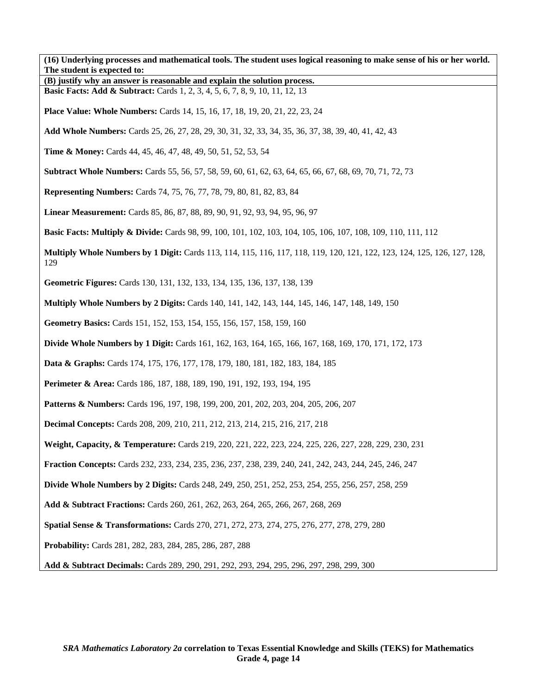**(16) Underlying processes and mathematical tools. The student uses logical reasoning to make sense of his or her world. The student is expected to: (B) justify why an answer is reasonable and explain the solution process. Basic Facts: Add & Subtract:** Cards 1, 2, 3, 4, 5, 6, 7, 8, 9, 10, 11, 12, 13 **Place Value: Whole Numbers:** Cards 14, 15, 16, 17, 18, 19, 20, 21, 22, 23, 24 **Add Whole Numbers:** Cards 25, 26, 27, 28, 29, 30, 31, 32, 33, 34, 35, 36, 37, 38, 39, 40, 41, 42, 43 **Time & Money:** Cards 44, 45, 46, 47, 48, 49, 50, 51, 52, 53, 54 **Subtract Whole Numbers:** Cards 55, 56, 57, 58, 59, 60, 61, 62, 63, 64, 65, 66, 67, 68, 69, 70, 71, 72, 73 **Representing Numbers:** Cards 74, 75, 76, 77, 78, 79, 80, 81, 82, 83, 84 **Linear Measurement:** Cards 85, 86, 87, 88, 89, 90, 91, 92, 93, 94, 95, 96, 97 **Basic Facts: Multiply & Divide:** Cards 98, 99, 100, 101, 102, 103, 104, 105, 106, 107, 108, 109, 110, 111, 112 **Multiply Whole Numbers by 1 Digit:** Cards 113, 114, 115, 116, 117, 118, 119, 120, 121, 122, 123, 124, 125, 126, 127, 128, 129 **Geometric Figures:** Cards 130, 131, 132, 133, 134, 135, 136, 137, 138, 139 **Multiply Whole Numbers by 2 Digits:** Cards 140, 141, 142, 143, 144, 145, 146, 147, 148, 149, 150 **Geometry Basics:** Cards 151, 152, 153, 154, 155, 156, 157, 158, 159, 160 **Divide Whole Numbers by 1 Digit:** Cards 161, 162, 163, 164, 165, 166, 167, 168, 169, 170, 171, 172, 173 **Data & Graphs:** Cards 174, 175, 176, 177, 178, 179, 180, 181, 182, 183, 184, 185 **Perimeter & Area:** Cards 186, 187, 188, 189, 190, 191, 192, 193, 194, 195 **Patterns & Numbers:** Cards 196, 197, 198, 199, 200, 201, 202, 203, 204, 205, 206, 207 **Decimal Concepts:** Cards 208, 209, 210, 211, 212, 213, 214, 215, 216, 217, 218 **Weight, Capacity, & Temperature:** Cards 219, 220, 221, 222, 223, 224, 225, 226, 227, 228, 229, 230, 231 **Fraction Concepts:** Cards 232, 233, 234, 235, 236, 237, 238, 239, 240, 241, 242, 243, 244, 245, 246, 247 **Divide Whole Numbers by 2 Digits:** Cards 248, 249, 250, 251, 252, 253, 254, 255, 256, 257, 258, 259 **Add & Subtract Fractions:** Cards 260, 261, 262, 263, 264, 265, 266, 267, 268, 269 **Spatial Sense & Transformations:** Cards 270, 271, 272, 273, 274, 275, 276, 277, 278, 279, 280 **Probability:** Cards 281, 282, 283, 284, 285, 286, 287, 288 **Add & Subtract Decimals:** Cards 289, 290, 291, 292, 293, 294, 295, 296, 297, 298, 299, 300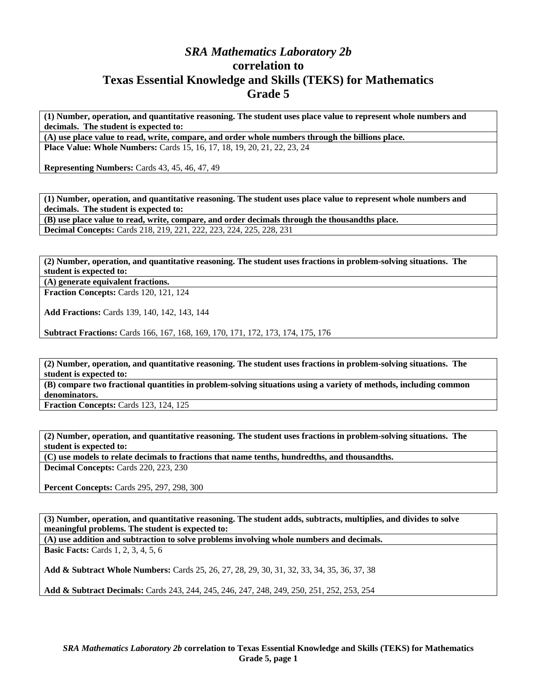## *SRA Mathematics Laboratory 2b*  **correlation to Texas Essential Knowledge and Skills (TEKS) for Mathematics Grade 5**

**(1) Number, operation, and quantitative reasoning. The student uses place value to represent whole numbers and decimals. The student is expected to:** 

**(A) use place value to read, write, compare, and order whole numbers through the billions place. Place Value: Whole Numbers:** Cards 15, 16, 17, 18, 19, 20, 21, 22, 23, 24

**Representing Numbers:** Cards 43, 45, 46, 47, 49

**(1) Number, operation, and quantitative reasoning. The student uses place value to represent whole numbers and decimals. The student is expected to: (B) use place value to read, write, compare, and order decimals through the thousandths place.** 

**Decimal Concepts:** Cards 218, 219, 221, 222, 223, 224, 225, 228, 231

**(2) Number, operation, and quantitative reasoning. The student uses fractions in problem-solving situations. The student is expected to:** 

**(A) generate equivalent fractions.** 

**Fraction Concepts:** Cards 120, 121, 124

**Add Fractions:** Cards 139, 140, 142, 143, 144

**Subtract Fractions:** Cards 166, 167, 168, 169, 170, 171, 172, 173, 174, 175, 176

**(2) Number, operation, and quantitative reasoning. The student uses fractions in problem-solving situations. The student is expected to:** 

**(B) compare two fractional quantities in problem-solving situations using a variety of methods, including common denominators.** 

**Fraction Concepts:** Cards 123, 124, 125

**(2) Number, operation, and quantitative reasoning. The student uses fractions in problem-solving situations. The student is expected to:** 

**(C) use models to relate decimals to fractions that name tenths, hundredths, and thousandths. Decimal Concepts:** Cards 220, 223, 230

**Percent Concepts:** Cards 295, 297, 298, 300

**(3) Number, operation, and quantitative reasoning. The student adds, subtracts, multiplies, and divides to solve meaningful problems. The student is expected to:** 

**(A) use addition and subtraction to solve problems involving whole numbers and decimals.** 

**Basic Facts:** Cards 1, 2, 3, 4, 5, 6

**Add & Subtract Whole Numbers:** Cards 25, 26, 27, 28, 29, 30, 31, 32, 33, 34, 35, 36, 37, 38

**Add & Subtract Decimals:** Cards 243, 244, 245, 246, 247, 248, 249, 250, 251, 252, 253, 254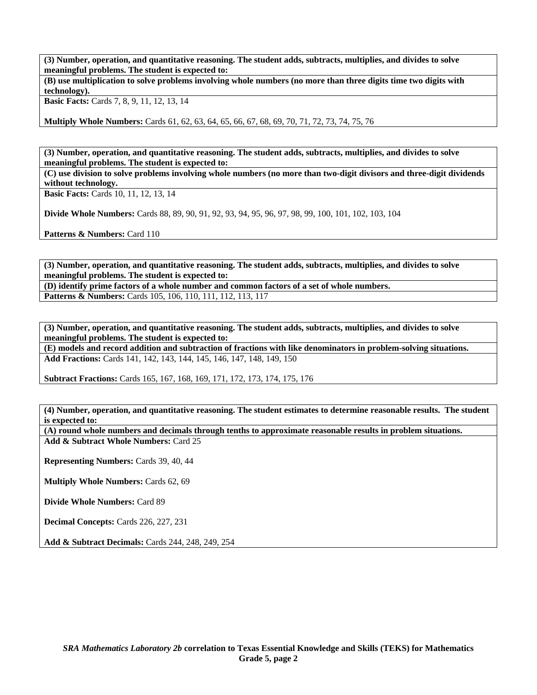**(3) Number, operation, and quantitative reasoning. The student adds, subtracts, multiplies, and divides to solve meaningful problems. The student is expected to:** 

**(B) use multiplication to solve problems involving whole numbers (no more than three digits time two digits with technology).** 

**Basic Facts:** Cards 7, 8, 9, 11, 12, 13, 14

**Multiply Whole Numbers:** Cards 61, 62, 63, 64, 65, 66, 67, 68, 69, 70, 71, 72, 73, 74, 75, 76

**(3) Number, operation, and quantitative reasoning. The student adds, subtracts, multiplies, and divides to solve meaningful problems. The student is expected to:** 

**(C) use division to solve problems involving whole numbers (no more than two-digit divisors and three-digit dividends without technology.** 

**Basic Facts:** Cards 10, 11, 12, 13, 14

**Divide Whole Numbers:** Cards 88, 89, 90, 91, 92, 93, 94, 95, 96, 97, 98, 99, 100, 101, 102, 103, 104

**Patterns & Numbers: Card 110** 

**(3) Number, operation, and quantitative reasoning. The student adds, subtracts, multiplies, and divides to solve meaningful problems. The student is expected to:** 

**(D) identify prime factors of a whole number and common factors of a set of whole numbers. Patterns & Numbers:** Cards 105, 106, 110, 111, 112, 113, 117

**(3) Number, operation, and quantitative reasoning. The student adds, subtracts, multiplies, and divides to solve meaningful problems. The student is expected to:** 

**(E) models and record addition and subtraction of fractions with like denominators in problem-solving situations. Add Fractions:** Cards 141, 142, 143, 144, 145, 146, 147, 148, 149, 150

**Subtract Fractions:** Cards 165, 167, 168, 169, 171, 172, 173, 174, 175, 176

**(4) Number, operation, and quantitative reasoning. The student estimates to determine reasonable results. The student is expected to:** 

**(A) round whole numbers and decimals through tenths to approximate reasonable results in problem situations. Add & Subtract Whole Numbers:** Card 25

**Representing Numbers:** Cards 39, 40, 44

**Multiply Whole Numbers:** Cards 62, 69

**Divide Whole Numbers:** Card 89

**Decimal Concepts:** Cards 226, 227, 231

**Add & Subtract Decimals:** Cards 244, 248, 249, 254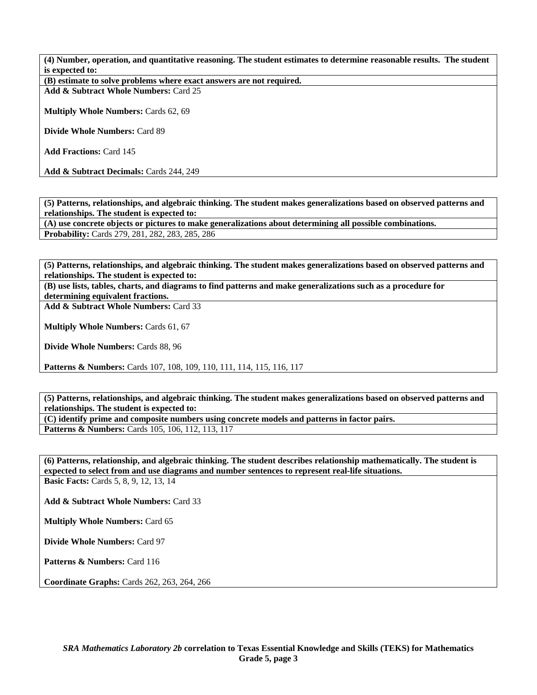**(4) Number, operation, and quantitative reasoning. The student estimates to determine reasonable results. The student is expected to:** 

**(B) estimate to solve problems where exact answers are not required.** 

**Add & Subtract Whole Numbers:** Card 25

**Multiply Whole Numbers:** Cards 62, 69

**Divide Whole Numbers:** Card 89

**Add Fractions:** Card 145

**Add & Subtract Decimals:** Cards 244, 249

**(5) Patterns, relationships, and algebraic thinking. The student makes generalizations based on observed patterns and relationships. The student is expected to:** 

**(A) use concrete objects or pictures to make generalizations about determining all possible combinations.** 

**Probability:** Cards 279, 281, 282, 283, 285, 286

**(5) Patterns, relationships, and algebraic thinking. The student makes generalizations based on observed patterns and relationships. The student is expected to:** 

**(B) use lists, tables, charts, and diagrams to find patterns and make generalizations such as a procedure for determining equivalent fractions.** 

**Add & Subtract Whole Numbers:** Card 33

**Multiply Whole Numbers:** Cards 61, 67

**Divide Whole Numbers:** Cards 88, 96

Patterns & Numbers: Cards 107, 108, 109, 110, 111, 114, 115, 116, 117

**(5) Patterns, relationships, and algebraic thinking. The student makes generalizations based on observed patterns and relationships. The student is expected to:** 

**(C) identify prime and composite numbers using concrete models and patterns in factor pairs.**  Patterns & Numbers: Cards 105, 106, 112, 113, 117

**(6) Patterns, relationship, and algebraic thinking. The student describes relationship mathematically. The student is expected to select from and use diagrams and number sentences to represent real-life situations. Basic Facts:** Cards 5, 8, 9, 12, 13, 14

**Add & Subtract Whole Numbers:** Card 33

**Multiply Whole Numbers:** Card 65

**Divide Whole Numbers:** Card 97

Patterns & Numbers: Card 116

**Coordinate Graphs:** Cards 262, 263, 264, 266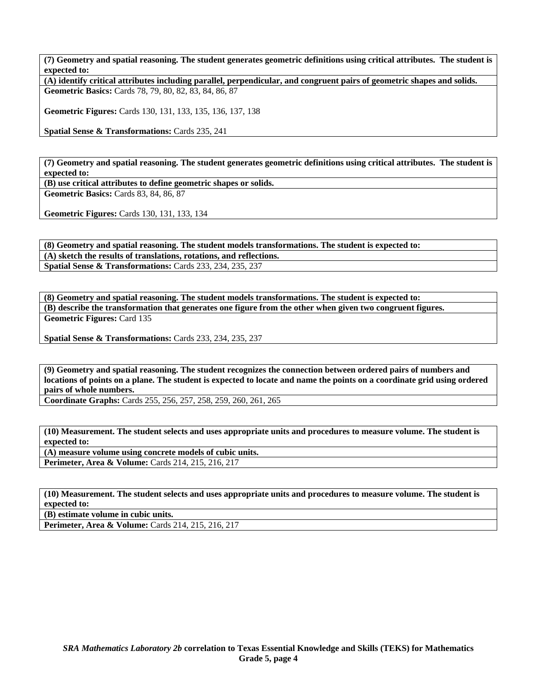**(7) Geometry and spatial reasoning. The student generates geometric definitions using critical attributes. The student is expected to:** 

**(A) identify critical attributes including parallel, perpendicular, and congruent pairs of geometric shapes and solids. Geometric Basics:** Cards 78, 79, 80, 82, 83, 84, 86, 87

**Geometric Figures:** Cards 130, 131, 133, 135, 136, 137, 138

**Spatial Sense & Transformations:** Cards 235, 241

**(7) Geometry and spatial reasoning. The student generates geometric definitions using critical attributes. The student is expected to:** 

**(B) use critical attributes to define geometric shapes or solids.** 

**Geometric Basics:** Cards 83, 84, 86, 87

**Geometric Figures:** Cards 130, 131, 133, 134

**(8) Geometry and spatial reasoning. The student models transformations. The student is expected to: (A) sketch the results of translations, rotations, and reflections. Spatial Sense & Transformations:** Cards 233, 234, 235, 237

**(8) Geometry and spatial reasoning. The student models transformations. The student is expected to: (B) describe the transformation that generates one figure from the other when given two congruent figures. Geometric Figures:** Card 135

**Spatial Sense & Transformations:** Cards 233, 234, 235, 237

**(9) Geometry and spatial reasoning. The student recognizes the connection between ordered pairs of numbers and locations of points on a plane. The student is expected to locate and name the points on a coordinate grid using ordered pairs of whole numbers.** 

**Coordinate Graphs:** Cards 255, 256, 257, 258, 259, 260, 261, 265

**(10) Measurement. The student selects and uses appropriate units and procedures to measure volume. The student is expected to:** 

**(A) measure volume using concrete models of cubic units.** 

**Perimeter, Area & Volume:** Cards 214, 215, 216, 217

**(10) Measurement. The student selects and uses appropriate units and procedures to measure volume. The student is expected to:** 

**(B) estimate volume in cubic units.** 

**Perimeter, Area & Volume:** Cards 214, 215, 216, 217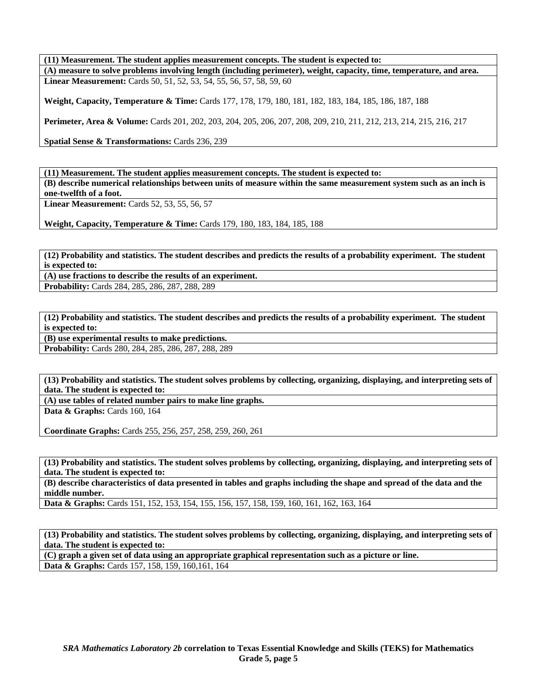**(11) Measurement. The student applies measurement concepts. The student is expected to: (A) measure to solve problems involving length (including perimeter), weight, capacity, time, temperature, and area. Linear Measurement:** Cards 50, 51, 52, 53, 54, 55, 56, 57, 58, 59, 60

**Weight, Capacity, Temperature & Time:** Cards 177, 178, 179, 180, 181, 182, 183, 184, 185, 186, 187, 188

**Perimeter, Area & Volume:** Cards 201, 202, 203, 204, 205, 206, 207, 208, 209, 210, 211, 212, 213, 214, 215, 216, 217

**Spatial Sense & Transformations:** Cards 236, 239

**(11) Measurement. The student applies measurement concepts. The student is expected to: (B) describe numerical relationships between units of measure within the same measurement system such as an inch is one-twelfth of a foot.** 

**Linear Measurement:** Cards 52, 53, 55, 56, 57

**Weight, Capacity, Temperature & Time:** Cards 179, 180, 183, 184, 185, 188

**(12) Probability and statistics. The student describes and predicts the results of a probability experiment. The student is expected to:** 

**(A) use fractions to describe the results of an experiment. Probability:** Cards 284, 285, 286, 287, 288, 289

**(12) Probability and statistics. The student describes and predicts the results of a probability experiment. The student is expected to:** 

**(B) use experimental results to make predictions.** 

**Probability:** Cards 280, 284, 285, 286, 287, 288, 289

**(13) Probability and statistics. The student solves problems by collecting, organizing, displaying, and interpreting sets of data. The student is expected to:** 

**(A) use tables of related number pairs to make line graphs. Data & Graphs: Cards 160, 164** 

**Coordinate Graphs:** Cards 255, 256, 257, 258, 259, 260, 261

**(13) Probability and statistics. The student solves problems by collecting, organizing, displaying, and interpreting sets of data. The student is expected to:** 

**(B) describe characteristics of data presented in tables and graphs including the shape and spread of the data and the middle number.** 

**Data & Graphs:** Cards 151, 152, 153, 154, 155, 156, 157, 158, 159, 160, 161, 162, 163, 164

**(13) Probability and statistics. The student solves problems by collecting, organizing, displaying, and interpreting sets of data. The student is expected to:** 

**(C) graph a given set of data using an appropriate graphical representation such as a picture or line. Data & Graphs:** Cards 157, 158, 159, 160,161, 164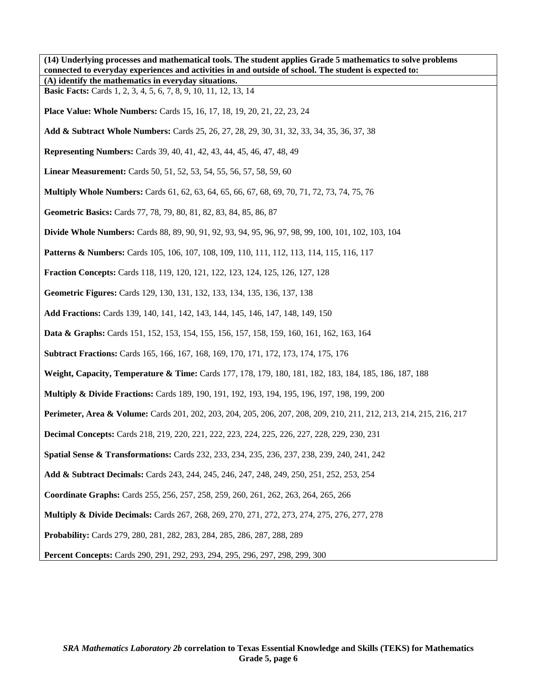**(14) Underlying processes and mathematical tools. The student applies Grade 5 mathematics to solve problems connected to everyday experiences and activities in and outside of school. The student is expected to: (A) identify the mathematics in everyday situations. Basic Facts:** Cards 1, 2, 3, 4, 5, 6, 7, 8, 9, 10, 11, 12, 13, 14 **Place Value: Whole Numbers:** Cards 15, 16, 17, 18, 19, 20, 21, 22, 23, 24 **Add & Subtract Whole Numbers:** Cards 25, 26, 27, 28, 29, 30, 31, 32, 33, 34, 35, 36, 37, 38 **Representing Numbers:** Cards 39, 40, 41, 42, 43, 44, 45, 46, 47, 48, 49 **Linear Measurement:** Cards 50, 51, 52, 53, 54, 55, 56, 57, 58, 59, 60 **Multiply Whole Numbers:** Cards 61, 62, 63, 64, 65, 66, 67, 68, 69, 70, 71, 72, 73, 74, 75, 76 **Geometric Basics:** Cards 77, 78, 79, 80, 81, 82, 83, 84, 85, 86, 87 **Divide Whole Numbers:** Cards 88, 89, 90, 91, 92, 93, 94, 95, 96, 97, 98, 99, 100, 101, 102, 103, 104 **Patterns & Numbers:** Cards 105, 106, 107, 108, 109, 110, 111, 112, 113, 114, 115, 116, 117 **Fraction Concepts:** Cards 118, 119, 120, 121, 122, 123, 124, 125, 126, 127, 128 **Geometric Figures:** Cards 129, 130, 131, 132, 133, 134, 135, 136, 137, 138 **Add Fractions:** Cards 139, 140, 141, 142, 143, 144, 145, 146, 147, 148, 149, 150 **Data & Graphs:** Cards 151, 152, 153, 154, 155, 156, 157, 158, 159, 160, 161, 162, 163, 164 **Subtract Fractions:** Cards 165, 166, 167, 168, 169, 170, 171, 172, 173, 174, 175, 176 **Weight, Capacity, Temperature & Time:** Cards 177, 178, 179, 180, 181, 182, 183, 184, 185, 186, 187, 188 **Multiply & Divide Fractions:** Cards 189, 190, 191, 192, 193, 194, 195, 196, 197, 198, 199, 200 **Perimeter, Area & Volume:** Cards 201, 202, 203, 204, 205, 206, 207, 208, 209, 210, 211, 212, 213, 214, 215, 216, 217 **Decimal Concepts:** Cards 218, 219, 220, 221, 222, 223, 224, 225, 226, 227, 228, 229, 230, 231 **Spatial Sense & Transformations:** Cards 232, 233, 234, 235, 236, 237, 238, 239, 240, 241, 242 **Add & Subtract Decimals:** Cards 243, 244, 245, 246, 247, 248, 249, 250, 251, 252, 253, 254 **Coordinate Graphs:** Cards 255, 256, 257, 258, 259, 260, 261, 262, 263, 264, 265, 266 **Multiply & Divide Decimals:** Cards 267, 268, 269, 270, 271, 272, 273, 274, 275, 276, 277, 278 **Probability:** Cards 279, 280, 281, 282, 283, 284, 285, 286, 287, 288, 289 **Percent Concepts:** Cards 290, 291, 292, 293, 294, 295, 296, 297, 298, 299, 300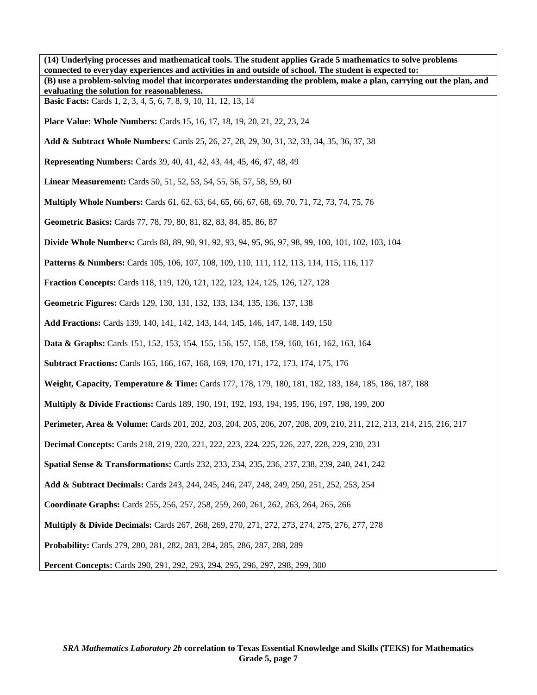**(14) Underlying processes and mathematical tools. The student applies Grade 5 mathematics to solve problems connected to everyday experiences and activities in and outside of school. The student is expected to: (B) use a problem-solving model that incorporates understanding the problem, make a plan, carrying out the plan, and evaluating the solution for reasonableness. Basic Facts:** Cards 1, 2, 3, 4, 5, 6, 7, 8, 9, 10, 11, 12, 13, 14 **Place Value: Whole Numbers:** Cards 15, 16, 17, 18, 19, 20, 21, 22, 23, 24 **Add & Subtract Whole Numbers:** Cards 25, 26, 27, 28, 29, 30, 31, 32, 33, 34, 35, 36, 37, 38 **Representing Numbers:** Cards 39, 40, 41, 42, 43, 44, 45, 46, 47, 48, 49 **Linear Measurement:** Cards 50, 51, 52, 53, 54, 55, 56, 57, 58, 59, 60 **Multiply Whole Numbers:** Cards 61, 62, 63, 64, 65, 66, 67, 68, 69, 70, 71, 72, 73, 74, 75, 76 **Geometric Basics:** Cards 77, 78, 79, 80, 81, 82, 83, 84, 85, 86, 87 **Divide Whole Numbers:** Cards 88, 89, 90, 91, 92, 93, 94, 95, 96, 97, 98, 99, 100, 101, 102, 103, 104 **Patterns & Numbers:** Cards 105, 106, 107, 108, 109, 110, 111, 112, 113, 114, 115, 116, 117 **Fraction Concepts:** Cards 118, 119, 120, 121, 122, 123, 124, 125, 126, 127, 128 **Geometric Figures:** Cards 129, 130, 131, 132, 133, 134, 135, 136, 137, 138 **Add Fractions:** Cards 139, 140, 141, 142, 143, 144, 145, 146, 147, 148, 149, 150 **Data & Graphs:** Cards 151, 152, 153, 154, 155, 156, 157, 158, 159, 160, 161, 162, 163, 164 **Subtract Fractions:** Cards 165, 166, 167, 168, 169, 170, 171, 172, 173, 174, 175, 176 **Weight, Capacity, Temperature & Time:** Cards 177, 178, 179, 180, 181, 182, 183, 184, 185, 186, 187, 188 **Multiply & Divide Fractions:** Cards 189, 190, 191, 192, 193, 194, 195, 196, 197, 198, 199, 200 **Perimeter, Area & Volume:** Cards 201, 202, 203, 204, 205, 206, 207, 208, 209, 210, 211, 212, 213, 214, 215, 216, 217 **Decimal Concepts:** Cards 218, 219, 220, 221, 222, 223, 224, 225, 226, 227, 228, 229, 230, 231 **Spatial Sense & Transformations:** Cards 232, 233, 234, 235, 236, 237, 238, 239, 240, 241, 242 **Add & Subtract Decimals:** Cards 243, 244, 245, 246, 247, 248, 249, 250, 251, 252, 253, 254 **Coordinate Graphs:** Cards 255, 256, 257, 258, 259, 260, 261, 262, 263, 264, 265, 266 **Multiply & Divide Decimals:** Cards 267, 268, 269, 270, 271, 272, 273, 274, 275, 276, 277, 278 **Probability:** Cards 279, 280, 281, 282, 283, 284, 285, 286, 287, 288, 289 **Percent Concepts:** Cards 290, 291, 292, 293, 294, 295, 296, 297, 298, 299, 300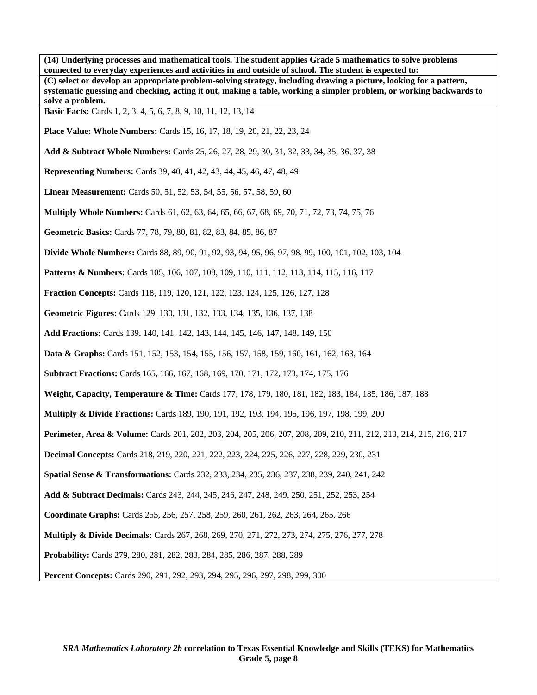**(14) Underlying processes and mathematical tools. The student applies Grade 5 mathematics to solve problems connected to everyday experiences and activities in and outside of school. The student is expected to: (C) select or develop an appropriate problem-solving strategy, including drawing a picture, looking for a pattern, systematic guessing and checking, acting it out, making a table, working a simpler problem, or working backwards to solve a problem. Basic Facts:** Cards 1, 2, 3, 4, 5, 6, 7, 8, 9, 10, 11, 12, 13, 14 **Place Value: Whole Numbers:** Cards 15, 16, 17, 18, 19, 20, 21, 22, 23, 24 **Add & Subtract Whole Numbers:** Cards 25, 26, 27, 28, 29, 30, 31, 32, 33, 34, 35, 36, 37, 38 **Representing Numbers:** Cards 39, 40, 41, 42, 43, 44, 45, 46, 47, 48, 49 **Linear Measurement:** Cards 50, 51, 52, 53, 54, 55, 56, 57, 58, 59, 60 **Multiply Whole Numbers:** Cards 61, 62, 63, 64, 65, 66, 67, 68, 69, 70, 71, 72, 73, 74, 75, 76 **Geometric Basics:** Cards 77, 78, 79, 80, 81, 82, 83, 84, 85, 86, 87 **Divide Whole Numbers:** Cards 88, 89, 90, 91, 92, 93, 94, 95, 96, 97, 98, 99, 100, 101, 102, 103, 104 **Patterns & Numbers:** Cards 105, 106, 107, 108, 109, 110, 111, 112, 113, 114, 115, 116, 117 **Fraction Concepts:** Cards 118, 119, 120, 121, 122, 123, 124, 125, 126, 127, 128 **Geometric Figures:** Cards 129, 130, 131, 132, 133, 134, 135, 136, 137, 138 **Add Fractions:** Cards 139, 140, 141, 142, 143, 144, 145, 146, 147, 148, 149, 150 **Data & Graphs:** Cards 151, 152, 153, 154, 155, 156, 157, 158, 159, 160, 161, 162, 163, 164 **Subtract Fractions:** Cards 165, 166, 167, 168, 169, 170, 171, 172, 173, 174, 175, 176 **Weight, Capacity, Temperature & Time:** Cards 177, 178, 179, 180, 181, 182, 183, 184, 185, 186, 187, 188 **Multiply & Divide Fractions:** Cards 189, 190, 191, 192, 193, 194, 195, 196, 197, 198, 199, 200 **Perimeter, Area & Volume:** Cards 201, 202, 203, 204, 205, 206, 207, 208, 209, 210, 211, 212, 213, 214, 215, 216, 217 **Decimal Concepts:** Cards 218, 219, 220, 221, 222, 223, 224, 225, 226, 227, 228, 229, 230, 231 **Spatial Sense & Transformations:** Cards 232, 233, 234, 235, 236, 237, 238, 239, 240, 241, 242 **Add & Subtract Decimals:** Cards 243, 244, 245, 246, 247, 248, 249, 250, 251, 252, 253, 254 **Coordinate Graphs:** Cards 255, 256, 257, 258, 259, 260, 261, 262, 263, 264, 265, 266 **Multiply & Divide Decimals:** Cards 267, 268, 269, 270, 271, 272, 273, 274, 275, 276, 277, 278 **Probability:** Cards 279, 280, 281, 282, 283, 284, 285, 286, 287, 288, 289 **Percent Concepts:** Cards 290, 291, 292, 293, 294, 295, 296, 297, 298, 299, 300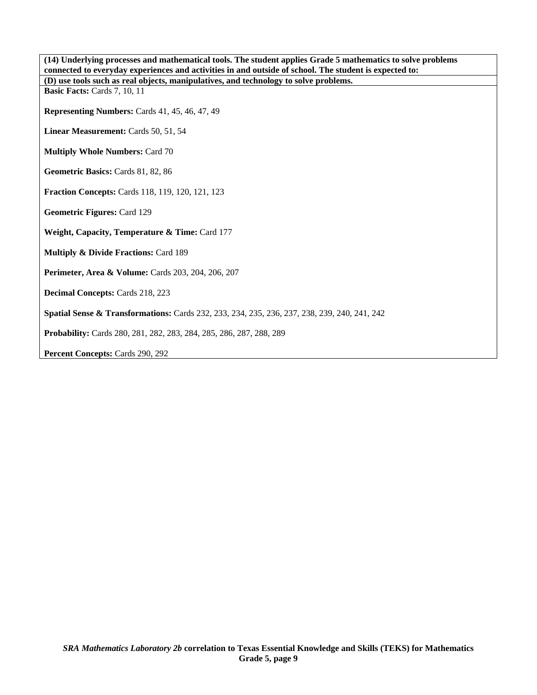| (14) Underlying processes and mathematical tools. The student applies Grade 5 mathematics to solve problems |
|-------------------------------------------------------------------------------------------------------------|
| connected to everyday experiences and activities in and outside of school. The student is expected to:      |
| (D) use tools such as real objects, manipulatives, and technology to solve problems.                        |
| Basic Facts: Cards 7, 10, 11                                                                                |
| Representing Numbers: Cards 41, 45, 46, 47, 49                                                              |
|                                                                                                             |
| Linear Measurement: Cards 50, 51, 54                                                                        |
|                                                                                                             |
| <b>Multiply Whole Numbers: Card 70</b>                                                                      |
|                                                                                                             |
| Geometric Basics: Cards 81, 82, 86                                                                          |
|                                                                                                             |
| <b>Fraction Concepts: Cards 118, 119, 120, 121, 123</b>                                                     |
| Geometric Figures: Card 129                                                                                 |
|                                                                                                             |
| Weight, Capacity, Temperature & Time: Card 177                                                              |
|                                                                                                             |
| <b>Multiply &amp; Divide Fractions: Card 189</b>                                                            |
|                                                                                                             |
| <b>Perimeter, Area &amp; Volume:</b> Cards 203, 204, 206, 207                                               |
| Decimal Concepts: Cards 218, 223                                                                            |
|                                                                                                             |
| <b>Spatial Sense &amp; Transformations:</b> Cards 232, 233, 234, 235, 236, 237, 238, 239, 240, 241, 242     |
| <b>Probability:</b> Cards 280, 281, 282, 283, 284, 285, 286, 287, 288, 289                                  |
| <b>Percent Concepts: Cards 290, 292</b>                                                                     |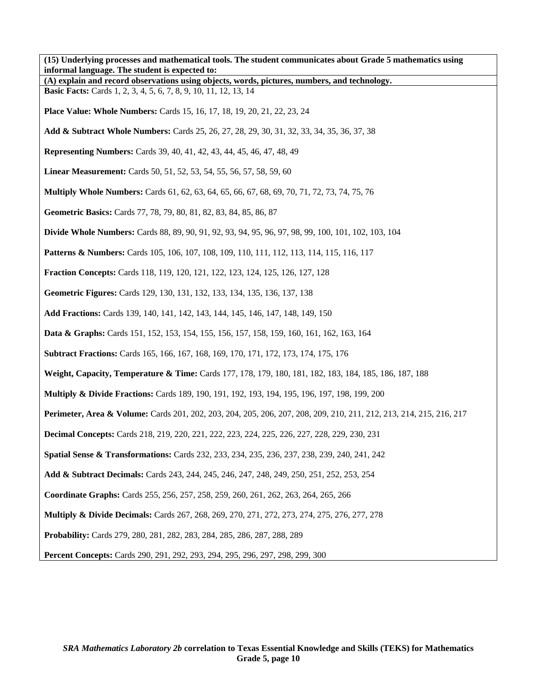| (15) Underlying processes and mathematical tools. The student communicates about Grade 5 mathematics using<br>informal language. The student is expected to: |
|--------------------------------------------------------------------------------------------------------------------------------------------------------------|
| (A) explain and record observations using objects, words, pictures, numbers, and technology.                                                                 |
| <b>Basic Facts:</b> Cards 1, 2, 3, 4, 5, 6, 7, 8, 9, 10, 11, 12, 13, 14                                                                                      |
| <b>Place Value: Whole Numbers:</b> Cards 15, 16, 17, 18, 19, 20, 21, 22, 23, 24                                                                              |
| Add & Subtract Whole Numbers: Cards 25, 26, 27, 28, 29, 30, 31, 32, 33, 34, 35, 36, 37, 38                                                                   |
| <b>Representing Numbers:</b> Cards 39, 40, 41, 42, 43, 44, 45, 46, 47, 48, 49                                                                                |
| <b>Linear Measurement:</b> Cards 50, 51, 52, 53, 54, 55, 56, 57, 58, 59, 60                                                                                  |
| <b>Multiply Whole Numbers:</b> Cards 61, 62, 63, 64, 65, 66, 67, 68, 69, 70, 71, 72, 73, 74, 75, 76                                                          |
| Geometric Basics: Cards 77, 78, 79, 80, 81, 82, 83, 84, 85, 86, 87                                                                                           |
| <b>Divide Whole Numbers:</b> Cards 88, 89, 90, 91, 92, 93, 94, 95, 96, 97, 98, 99, 100, 101, 102, 103, 104                                                   |
| <b>Patterns &amp; Numbers:</b> Cards 105, 106, 107, 108, 109, 110, 111, 112, 113, 114, 115, 116, 117                                                         |
| <b>Fraction Concepts:</b> Cards 118, 119, 120, 121, 122, 123, 124, 125, 126, 127, 128                                                                        |
| Geometric Figures: Cards 129, 130, 131, 132, 133, 134, 135, 136, 137, 138                                                                                    |
| Add Fractions: Cards 139, 140, 141, 142, 143, 144, 145, 146, 147, 148, 149, 150                                                                              |
| <b>Data &amp; Graphs:</b> Cards 151, 152, 153, 154, 155, 156, 157, 158, 159, 160, 161, 162, 163, 164                                                         |
| <b>Subtract Fractions:</b> Cards 165, 166, 167, 168, 169, 170, 171, 172, 173, 174, 175, 176                                                                  |
| Weight, Capacity, Temperature & Time: Cards 177, 178, 179, 180, 181, 182, 183, 184, 185, 186, 187, 188                                                       |
| <b>Multiply &amp; Divide Fractions:</b> Cards 189, 190, 191, 192, 193, 194, 195, 196, 197, 198, 199, 200                                                     |
| Perimeter, Area & Volume: Cards 201, 202, 203, 204, 205, 206, 207, 208, 209, 210, 211, 212, 213, 214, 215, 216, 217                                          |
| <b>Decimal Concepts:</b> Cards 218, 219, 220, 221, 222, 223, 224, 225, 226, 227, 228, 229, 230, 231                                                          |
| Spatial Sense & Transformations: Cards 232, 233, 234, 235, 236, 237, 238, 239, 240, 241, 242                                                                 |
| Add & Subtract Decimals: Cards 243, 244, 245, 246, 247, 248, 249, 250, 251, 252, 253, 254                                                                    |
| Coordinate Graphs: Cards 255, 256, 257, 258, 259, 260, 261, 262, 263, 264, 265, 266                                                                          |
| <b>Multiply &amp; Divide Decimals:</b> Cards 267, 268, 269, 270, 271, 272, 273, 274, 275, 276, 277, 278                                                      |
| Probability: Cards 279, 280, 281, 282, 283, 284, 285, 286, 287, 288, 289                                                                                     |
| Percent Concepts: Cards 290, 291, 292, 293, 294, 295, 296, 297, 298, 299, 300                                                                                |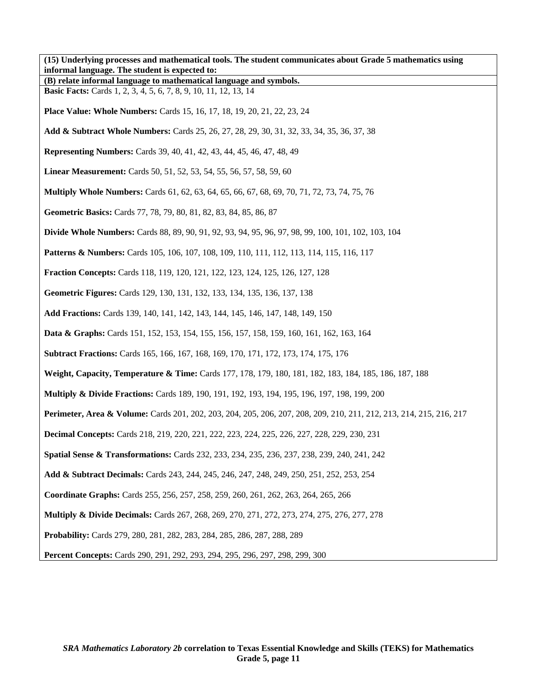| (15) Underlying processes and mathematical tools. The student communicates about Grade 5 mathematics using<br>informal language. The student is expected to: |
|--------------------------------------------------------------------------------------------------------------------------------------------------------------|
| (B) relate informal language to mathematical language and symbols.                                                                                           |
| <b>Basic Facts:</b> Cards 1, 2, 3, 4, 5, 6, 7, 8, 9, 10, 11, 12, 13, 14                                                                                      |
| <b>Place Value: Whole Numbers:</b> Cards 15, 16, 17, 18, 19, 20, 21, 22, 23, 24                                                                              |
| Add & Subtract Whole Numbers: Cards 25, 26, 27, 28, 29, 30, 31, 32, 33, 34, 35, 36, 37, 38                                                                   |
| <b>Representing Numbers:</b> Cards 39, 40, 41, 42, 43, 44, 45, 46, 47, 48, 49                                                                                |
| <b>Linear Measurement:</b> Cards 50, 51, 52, 53, 54, 55, 56, 57, 58, 59, 60                                                                                  |
| <b>Multiply Whole Numbers:</b> Cards 61, 62, 63, 64, 65, 66, 67, 68, 69, 70, 71, 72, 73, 74, 75, 76                                                          |
| Geometric Basics: Cards 77, 78, 79, 80, 81, 82, 83, 84, 85, 86, 87                                                                                           |
| <b>Divide Whole Numbers:</b> Cards 88, 89, 90, 91, 92, 93, 94, 95, 96, 97, 98, 99, 100, 101, 102, 103, 104                                                   |
| <b>Patterns &amp; Numbers:</b> Cards 105, 106, 107, 108, 109, 110, 111, 112, 113, 114, 115, 116, 117                                                         |
| <b>Fraction Concepts:</b> Cards 118, 119, 120, 121, 122, 123, 124, 125, 126, 127, 128                                                                        |
| Geometric Figures: Cards 129, 130, 131, 132, 133, 134, 135, 136, 137, 138                                                                                    |
| Add Fractions: Cards 139, 140, 141, 142, 143, 144, 145, 146, 147, 148, 149, 150                                                                              |
| <b>Data &amp; Graphs:</b> Cards 151, 152, 153, 154, 155, 156, 157, 158, 159, 160, 161, 162, 163, 164                                                         |
| <b>Subtract Fractions:</b> Cards 165, 166, 167, 168, 169, 170, 171, 172, 173, 174, 175, 176                                                                  |
| Weight, Capacity, Temperature & Time: Cards 177, 178, 179, 180, 181, 182, 183, 184, 185, 186, 187, 188                                                       |
| <b>Multiply &amp; Divide Fractions:</b> Cards 189, 190, 191, 192, 193, 194, 195, 196, 197, 198, 199, 200                                                     |
| Perimeter, Area & Volume: Cards 201, 202, 203, 204, 205, 206, 207, 208, 209, 210, 211, 212, 213, 214, 215, 216, 217                                          |
| <b>Decimal Concepts:</b> Cards 218, 219, 220, 221, 222, 223, 224, 225, 226, 227, 228, 229, 230, 231                                                          |
| <b>Spatial Sense &amp; Transformations:</b> Cards 232, 233, 234, 235, 236, 237, 238, 239, 240, 241, 242                                                      |
| Add & Subtract Decimals: Cards 243, 244, 245, 246, 247, 248, 249, 250, 251, 252, 253, 254                                                                    |
| Coordinate Graphs: Cards 255, 256, 257, 258, 259, 260, 261, 262, 263, 264, 265, 266                                                                          |
| <b>Multiply &amp; Divide Decimals:</b> Cards 267, 268, 269, 270, 271, 272, 273, 274, 275, 276, 277, 278                                                      |
| Probability: Cards 279, 280, 281, 282, 283, 284, 285, 286, 287, 288, 289                                                                                     |
| Percent Concepts: Cards 290, 291, 292, 293, 294, 295, 296, 297, 298, 299, 300                                                                                |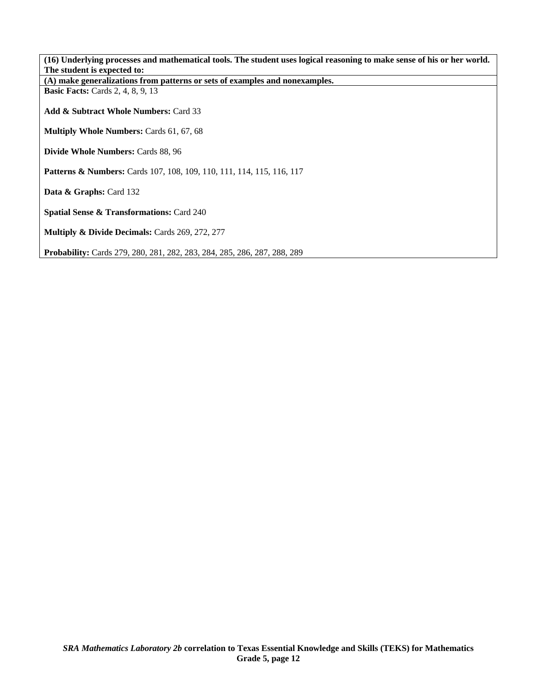| (16) Underlying processes and mathematical tools. The student uses logical reasoning to make sense of his or her world. |
|-------------------------------------------------------------------------------------------------------------------------|
| The student is expected to:                                                                                             |
| (A) make generalizations from patterns or sets of examples and nonexamples.                                             |
| <b>Basic Facts:</b> Cards 2, 4, 8, 9, 13                                                                                |
|                                                                                                                         |
| <b>Add &amp; Subtract Whole Numbers: Card 33</b>                                                                        |
|                                                                                                                         |
| <b>Multiply Whole Numbers: Cards 61, 67, 68</b>                                                                         |
|                                                                                                                         |
| <b>Divide Whole Numbers: Cards 88, 96</b>                                                                               |
|                                                                                                                         |
| <b>Patterns &amp; Numbers:</b> Cards 107, 108, 109, 110, 111, 114, 115, 116, 117                                        |
|                                                                                                                         |
| Data & Graphs: Card 132                                                                                                 |
|                                                                                                                         |
| <b>Spatial Sense &amp; Transformations: Card 240</b>                                                                    |
|                                                                                                                         |
| <b>Multiply &amp; Divide Decimals:</b> Cards 269, 272, 277                                                              |
|                                                                                                                         |
| <b>Probability:</b> Cards 279, 280, 281, 282, 283, 284, 285, 286, 287, 288, 289                                         |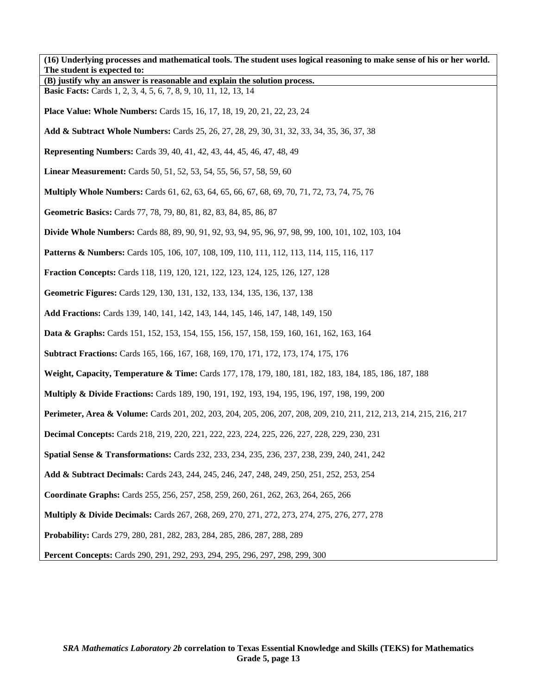| (16) Underlying processes and mathematical tools. The student uses logical reasoning to make sense of his or her world.<br>The student is expected to: |
|--------------------------------------------------------------------------------------------------------------------------------------------------------|
| (B) justify why an answer is reasonable and explain the solution process.                                                                              |
| <b>Basic Facts:</b> Cards 1, 2, 3, 4, 5, 6, 7, 8, 9, 10, 11, 12, 13, 14                                                                                |
| <b>Place Value: Whole Numbers:</b> Cards 15, 16, 17, 18, 19, 20, 21, 22, 23, 24                                                                        |
| Add & Subtract Whole Numbers: Cards 25, 26, 27, 28, 29, 30, 31, 32, 33, 34, 35, 36, 37, 38                                                             |
| <b>Representing Numbers:</b> Cards 39, 40, 41, 42, 43, 44, 45, 46, 47, 48, 49                                                                          |
| <b>Linear Measurement:</b> Cards 50, 51, 52, 53, 54, 55, 56, 57, 58, 59, 60                                                                            |
| <b>Multiply Whole Numbers:</b> Cards 61, 62, 63, 64, 65, 66, 67, 68, 69, 70, 71, 72, 73, 74, 75, 76                                                    |
| Geometric Basics: Cards 77, 78, 79, 80, 81, 82, 83, 84, 85, 86, 87                                                                                     |
| <b>Divide Whole Numbers:</b> Cards 88, 89, 90, 91, 92, 93, 94, 95, 96, 97, 98, 99, 100, 101, 102, 103, 104                                             |
| <b>Patterns &amp; Numbers:</b> Cards 105, 106, 107, 108, 109, 110, 111, 112, 113, 114, 115, 116, 117                                                   |
| <b>Fraction Concepts:</b> Cards 118, 119, 120, 121, 122, 123, 124, 125, 126, 127, 128                                                                  |
| Geometric Figures: Cards 129, 130, 131, 132, 133, 134, 135, 136, 137, 138                                                                              |
| Add Fractions: Cards 139, 140, 141, 142, 143, 144, 145, 146, 147, 148, 149, 150                                                                        |
| <b>Data &amp; Graphs:</b> Cards 151, 152, 153, 154, 155, 156, 157, 158, 159, 160, 161, 162, 163, 164                                                   |
| <b>Subtract Fractions:</b> Cards 165, 166, 167, 168, 169, 170, 171, 172, 173, 174, 175, 176                                                            |
| Weight, Capacity, Temperature & Time: Cards 177, 178, 179, 180, 181, 182, 183, 184, 185, 186, 187, 188                                                 |
| <b>Multiply &amp; Divide Fractions:</b> Cards 189, 190, 191, 192, 193, 194, 195, 196, 197, 198, 199, 200                                               |
| Perimeter, Area & Volume: Cards 201, 202, 203, 204, 205, 206, 207, 208, 209, 210, 211, 212, 213, 214, 215, 216, 217                                    |
| <b>Decimal Concepts:</b> Cards 218, 219, 220, 221, 222, 223, 224, 225, 226, 227, 228, 229, 230, 231                                                    |
| <b>Spatial Sense &amp; Transformations:</b> Cards 232, 233, 234, 235, 236, 237, 238, 239, 240, 241, 242                                                |
| Add & Subtract Decimals: Cards 243, 244, 245, 246, 247, 248, 249, 250, 251, 252, 253, 254                                                              |
| Coordinate Graphs: Cards 255, 256, 257, 258, 259, 260, 261, 262, 263, 264, 265, 266                                                                    |
| <b>Multiply &amp; Divide Decimals:</b> Cards 267, 268, 269, 270, 271, 272, 273, 274, 275, 276, 277, 278                                                |
| Probability: Cards 279, 280, 281, 282, 283, 284, 285, 286, 287, 288, 289                                                                               |
| Percent Concepts: Cards 290, 291, 292, 293, 294, 295, 296, 297, 298, 299, 300                                                                          |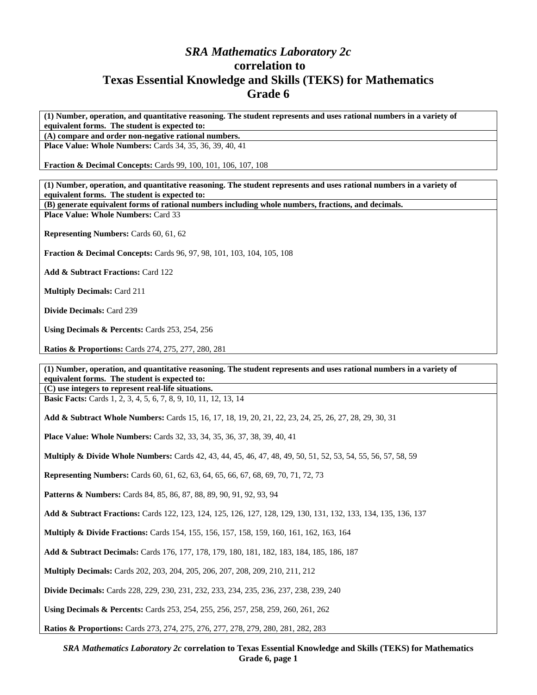## *SRA Mathematics Laboratory 2c*  **correlation to Texas Essential Knowledge and Skills (TEKS) for Mathematics Grade 6**

**(1) Number, operation, and quantitative reasoning. The student represents and uses rational numbers in a variety of equivalent forms. The student is expected to:** 

**(A) compare and order non-negative rational numbers.** 

**Place Value: Whole Numbers:** Cards 34, 35, 36, 39, 40, 41

**Fraction & Decimal Concepts:** Cards 99, 100, 101, 106, 107, 108

**(1) Number, operation, and quantitative reasoning. The student represents and uses rational numbers in a variety of equivalent forms. The student is expected to:** 

**(B) generate equivalent forms of rational numbers including whole numbers, fractions, and decimals. Place Value: Whole Numbers:** Card 33

**Representing Numbers:** Cards 60, 61, 62

**Fraction & Decimal Concepts:** Cards 96, 97, 98, 101, 103, 104, 105, 108

**Add & Subtract Fractions:** Card 122

**Multiply Decimals:** Card 211

**Divide Decimals:** Card 239

**Using Decimals & Percents:** Cards 253, 254, 256

**Ratios & Proportions:** Cards 274, 275, 277, 280, 281

**(1) Number, operation, and quantitative reasoning. The student represents and uses rational numbers in a variety of equivalent forms. The student is expected to:** 

**(C) use integers to represent real-life situations. Basic Facts:** Cards 1, 2, 3, 4, 5, 6, 7, 8, 9, 10, 11, 12, 13, 14

**Add & Subtract Whole Numbers:** Cards 15, 16, 17, 18, 19, 20, 21, 22, 23, 24, 25, 26, 27, 28, 29, 30, 31

**Place Value: Whole Numbers:** Cards 32, 33, 34, 35, 36, 37, 38, 39, 40, 41

**Multiply & Divide Whole Numbers:** Cards 42, 43, 44, 45, 46, 47, 48, 49, 50, 51, 52, 53, 54, 55, 56, 57, 58, 59

**Representing Numbers:** Cards 60, 61, 62, 63, 64, 65, 66, 67, 68, 69, 70, 71, 72, 73

Patterns & Numbers: Cards 84, 85, 86, 87, 88, 89, 90, 91, 92, 93, 94

**Add & Subtract Fractions:** Cards 122, 123, 124, 125, 126, 127, 128, 129, 130, 131, 132, 133, 134, 135, 136, 137

**Multiply & Divide Fractions:** Cards 154, 155, 156, 157, 158, 159, 160, 161, 162, 163, 164

**Add & Subtract Decimals:** Cards 176, 177, 178, 179, 180, 181, 182, 183, 184, 185, 186, 187

**Multiply Decimals:** Cards 202, 203, 204, 205, 206, 207, 208, 209, 210, 211, 212

**Divide Decimals:** Cards 228, 229, 230, 231, 232, 233, 234, 235, 236, 237, 238, 239, 240

**Using Decimals & Percents:** Cards 253, 254, 255, 256, 257, 258, 259, 260, 261, 262

**Ratios & Proportions:** Cards 273, 274, 275, 276, 277, 278, 279, 280, 281, 282, 283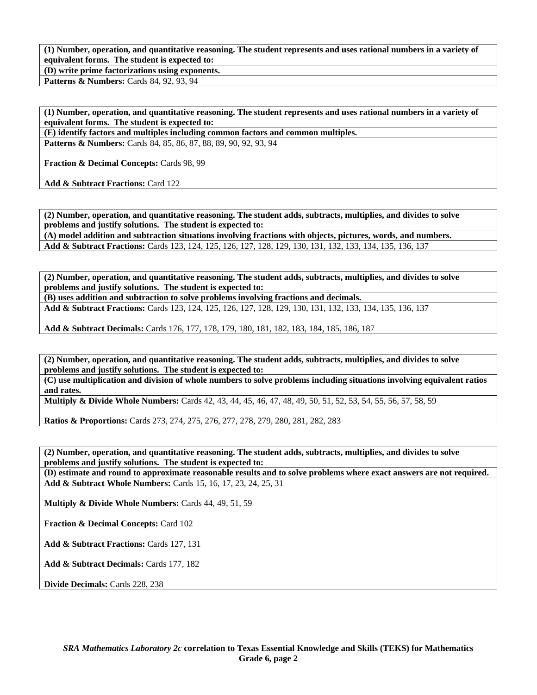**(1) Number, operation, and quantitative reasoning. The student represents and uses rational numbers in a variety of equivalent forms. The student is expected to:** 

**(D) write prime factorizations using exponents. Patterns & Numbers: Cards 84, 92, 93, 94** 

**(1) Number, operation, and quantitative reasoning. The student represents and uses rational numbers in a variety of equivalent forms. The student is expected to:** 

**(E) identify factors and multiples including common factors and common multiples.** 

**Patterns & Numbers:** Cards 84, 85, 86, 87, 88, 89, 90, 92, 93, 94

**Fraction & Decimal Concepts:** Cards 98, 99

**Add & Subtract Fractions:** Card 122

**(2) Number, operation, and quantitative reasoning. The student adds, subtracts, multiplies, and divides to solve problems and justify solutions. The student is expected to: (A) model addition and subtraction situations involving fractions with objects, pictures, words, and numbers.** 

**Add & Subtract Fractions:** Cards 123, 124, 125, 126, 127, 128, 129, 130, 131, 132, 133, 134, 135, 136, 137

**(2) Number, operation, and quantitative reasoning. The student adds, subtracts, multiplies, and divides to solve problems and justify solutions. The student is expected to:** 

**(B) uses addition and subtraction to solve problems involving fractions and decimals. Add & Subtract Fractions:** Cards 123, 124, 125, 126, 127, 128, 129, 130, 131, 132, 133, 134, 135, 136, 137

**Add & Subtract Decimals:** Cards 176, 177, 178, 179, 180, 181, 182, 183, 184, 185, 186, 187

**(2) Number, operation, and quantitative reasoning. The student adds, subtracts, multiplies, and divides to solve problems and justify solutions. The student is expected to:** 

**(C) use multiplication and division of whole numbers to solve problems including situations involving equivalent ratios and rates.** 

**Multiply & Divide Whole Numbers:** Cards 42, 43, 44, 45, 46, 47, 48, 49, 50, 51, 52, 53, 54, 55, 56, 57, 58, 59

**Ratios & Proportions:** Cards 273, 274, 275, 276, 277, 278, 279, 280, 281, 282, 283

**(2) Number, operation, and quantitative reasoning. The student adds, subtracts, multiplies, and divides to solve problems and justify solutions. The student is expected to:** 

**(D) estimate and round to approximate reasonable results and to solve problems where exact answers are not required. Add & Subtract Whole Numbers:** Cards 15, 16, 17, 23, 24, 25, 31

**Multiply & Divide Whole Numbers:** Cards 44, 49, 51, 59

**Fraction & Decimal Concepts:** Card 102

Add & Subtract Fractions: Cards 127, 131

**Add & Subtract Decimals:** Cards 177, 182

**Divide Decimals:** Cards 228, 238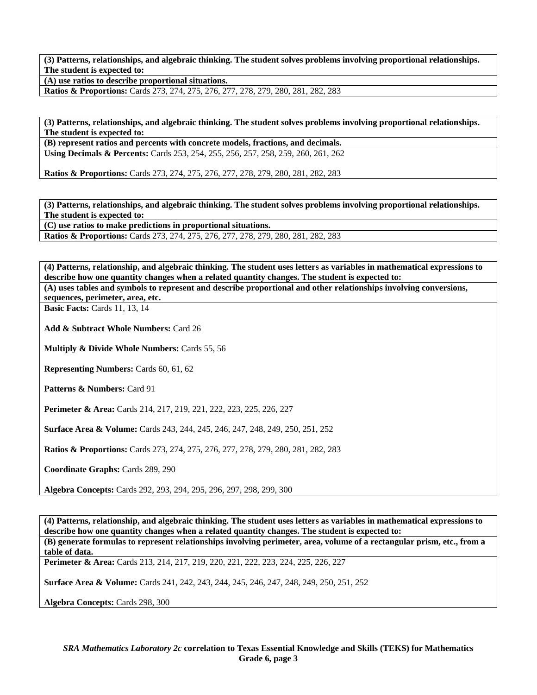**(3) Patterns, relationships, and algebraic thinking. The student solves problems involving proportional relationships. The student is expected to:** 

**(A) use ratios to describe proportional situations.** 

**Ratios & Proportions:** Cards 273, 274, 275, 276, 277, 278, 279, 280, 281, 282, 283

**(3) Patterns, relationships, and algebraic thinking. The student solves problems involving proportional relationships. The student is expected to:** 

**(B) represent ratios and percents with concrete models, fractions, and decimals. Using Decimals & Percents:** Cards 253, 254, 255, 256, 257, 258, 259, 260, 261, 262

**Ratios & Proportions:** Cards 273, 274, 275, 276, 277, 278, 279, 280, 281, 282, 283

**(3) Patterns, relationships, and algebraic thinking. The student solves problems involving proportional relationships. The student is expected to:** 

**(C) use ratios to make predictions in proportional situations. Ratios & Proportions:** Cards 273, 274, 275, 276, 277, 278, 279, 280, 281, 282, 283

**(4) Patterns, relationship, and algebraic thinking. The student uses letters as variables in mathematical expressions to describe how one quantity changes when a related quantity changes. The student is expected to:** 

**(A) uses tables and symbols to represent and describe proportional and other relationships involving conversions, sequences, perimeter, area, etc.** 

**Basic Facts: Cards 11, 13, 14** 

**Add & Subtract Whole Numbers:** Card 26

**Multiply & Divide Whole Numbers:** Cards 55, 56

**Representing Numbers:** Cards 60, 61, 62

**Patterns & Numbers:** Card 91

**Perimeter & Area:** Cards 214, 217, 219, 221, 222, 223, 225, 226, 227

**Surface Area & Volume:** Cards 243, 244, 245, 246, 247, 248, 249, 250, 251, 252

**Ratios & Proportions:** Cards 273, 274, 275, 276, 277, 278, 279, 280, 281, 282, 283

**Coordinate Graphs:** Cards 289, 290

**Algebra Concepts:** Cards 292, 293, 294, 295, 296, 297, 298, 299, 300

**(4) Patterns, relationship, and algebraic thinking. The student uses letters as variables in mathematical expressions to describe how one quantity changes when a related quantity changes. The student is expected to: (B) generate formulas to represent relationships involving perimeter, area, volume of a rectangular prism, etc., from a table of data.** 

**Perimeter & Area:** Cards 213, 214, 217, 219, 220, 221, 222, 223, 224, 225, 226, 227

**Surface Area & Volume:** Cards 241, 242, 243, 244, 245, 246, 247, 248, 249, 250, 251, 252

**Algebra Concepts:** Cards 298, 300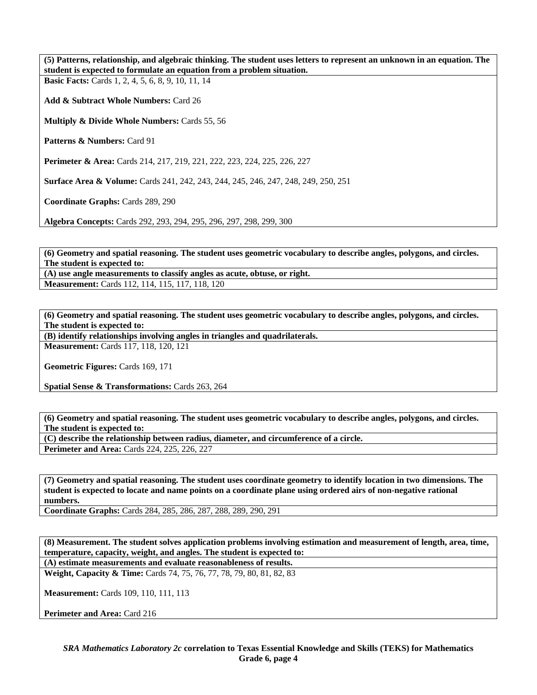**(5) Patterns, relationship, and algebraic thinking. The student uses letters to represent an unknown in an equation. The student is expected to formulate an equation from a problem situation.** 

**Basic Facts:** Cards 1, 2, 4, 5, 6, 8, 9, 10, 11, 14

**Add & Subtract Whole Numbers:** Card 26

**Multiply & Divide Whole Numbers:** Cards 55, 56

Patterns & Numbers: Card 91

**Perimeter & Area:** Cards 214, 217, 219, 221, 222, 223, 224, 225, 226, 227

**Surface Area & Volume:** Cards 241, 242, 243, 244, 245, 246, 247, 248, 249, 250, 251

**Coordinate Graphs:** Cards 289, 290

**Algebra Concepts:** Cards 292, 293, 294, 295, 296, 297, 298, 299, 300

**(6) Geometry and spatial reasoning. The student uses geometric vocabulary to describe angles, polygons, and circles. The student is expected to:** 

**(A) use angle measurements to classify angles as acute, obtuse, or right. Measurement:** Cards 112, 114, 115, 117, 118, 120

**(6) Geometry and spatial reasoning. The student uses geometric vocabulary to describe angles, polygons, and circles. The student is expected to:** 

**(B) identify relationships involving angles in triangles and quadrilaterals. Measurement:** Cards 117, 118, 120, 121

**Geometric Figures:** Cards 169, 171

**Spatial Sense & Transformations:** Cards 263, 264

**(6) Geometry and spatial reasoning. The student uses geometric vocabulary to describe angles, polygons, and circles. The student is expected to:** 

**(C) describe the relationship between radius, diameter, and circumference of a circle.** 

**Perimeter and Area:** Cards 224, 225, 226, 227

**(7) Geometry and spatial reasoning. The student uses coordinate geometry to identify location in two dimensions. The student is expected to locate and name points on a coordinate plane using ordered airs of non-negative rational numbers.** 

**Coordinate Graphs:** Cards 284, 285, 286, 287, 288, 289, 290, 291

**(8) Measurement. The student solves application problems involving estimation and measurement of length, area, time, temperature, capacity, weight, and angles. The student is expected to:** 

**(A) estimate measurements and evaluate reasonableness of results.** 

**Weight, Capacity & Time:** Cards 74, 75, 76, 77, 78, 79, 80, 81, 82, 83

**Measurement:** Cards 109, 110, 111, 113

Perimeter and Area: Card 216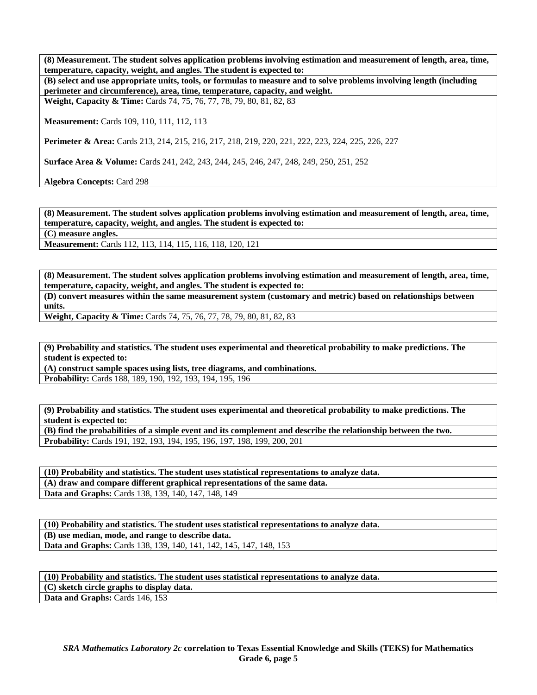**(8) Measurement. The student solves application problems involving estimation and measurement of length, area, time, temperature, capacity, weight, and angles. The student is expected to:** 

**(B) select and use appropriate units, tools, or formulas to measure and to solve problems involving length (including perimeter and circumference), area, time, temperature, capacity, and weight.** 

**Weight, Capacity & Time:** Cards 74, 75, 76, 77, 78, 79, 80, 81, 82, 83

**Measurement:** Cards 109, 110, 111, 112, 113

**Perimeter & Area:** Cards 213, 214, 215, 216, 217, 218, 219, 220, 221, 222, 223, 224, 225, 226, 227

**Surface Area & Volume:** Cards 241, 242, 243, 244, 245, 246, 247, 248, 249, 250, 251, 252

**Algebra Concepts:** Card 298

**(8) Measurement. The student solves application problems involving estimation and measurement of length, area, time, temperature, capacity, weight, and angles. The student is expected to:** 

**(C) measure angles.** 

**Measurement:** Cards 112, 113, 114, 115, 116, 118, 120, 121

**(8) Measurement. The student solves application problems involving estimation and measurement of length, area, time, temperature, capacity, weight, and angles. The student is expected to: (D) convert measures within the same measurement system (customary and metric) based on relationships between units.** 

**Weight, Capacity & Time:** Cards 74, 75, 76, 77, 78, 79, 80, 81, 82, 83

**(9) Probability and statistics. The student uses experimental and theoretical probability to make predictions. The student is expected to:** 

**(A) construct sample spaces using lists, tree diagrams, and combinations.** 

**Probability:** Cards 188, 189, 190, 192, 193, 194, 195, 196

**(9) Probability and statistics. The student uses experimental and theoretical probability to make predictions. The student is expected to:** 

**(B) find the probabilities of a simple event and its complement and describe the relationship between the two. Probability:** Cards 191, 192, 193, 194, 195, 196, 197, 198, 199, 200, 201

**(10) Probability and statistics. The student uses statistical representations to analyze data. (A) draw and compare different graphical representations of the same data. Data and Graphs:** Cards 138, 139, 140, 147, 148, 149

**(10) Probability and statistics. The student uses statistical representations to analyze data. (B) use median, mode, and range to describe data.**  Data and Graphs: Cards 138, 139, 140, 141, 142, 145, 147, 148, 153

**(10) Probability and statistics. The student uses statistical representations to analyze data. (C) sketch circle graphs to display data.**  Data and Graphs: Cards 146, 153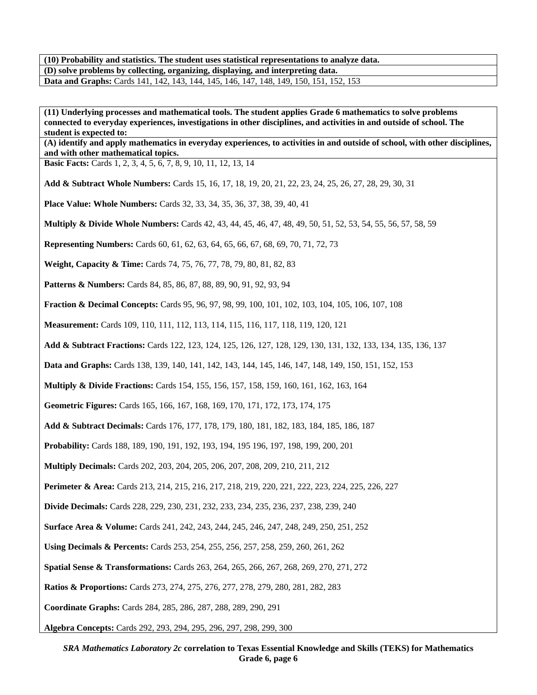**(10) Probability and statistics. The student uses statistical representations to analyze data. (D) solve problems by collecting, organizing, displaying, and interpreting data. Data and Graphs:** Cards 141, 142, 143, 144, 145, 146, 147, 148, 149, 150, 151, 152, 153

**(11) Underlying processes and mathematical tools. The student applies Grade 6 mathematics to solve problems connected to everyday experiences, investigations in other disciplines, and activities in and outside of school. The student is expected to:** 

**(A) identify and apply mathematics in everyday experiences, to activities in and outside of school, with other disciplines, and with other mathematical topics.** 

**Basic Facts:** Cards 1, 2, 3, 4, 5, 6, 7, 8, 9, 10, 11, 12, 13, 14

**Add & Subtract Whole Numbers:** Cards 15, 16, 17, 18, 19, 20, 21, 22, 23, 24, 25, 26, 27, 28, 29, 30, 31

**Place Value: Whole Numbers:** Cards 32, 33, 34, 35, 36, 37, 38, 39, 40, 41

**Multiply & Divide Whole Numbers:** Cards 42, 43, 44, 45, 46, 47, 48, 49, 50, 51, 52, 53, 54, 55, 56, 57, 58, 59

**Representing Numbers:** Cards 60, 61, 62, 63, 64, 65, 66, 67, 68, 69, 70, 71, 72, 73

**Weight, Capacity & Time:** Cards 74, 75, 76, 77, 78, 79, 80, 81, 82, 83

**Patterns & Numbers:** Cards 84, 85, 86, 87, 88, 89, 90, 91, 92, 93, 94

**Fraction & Decimal Concepts:** Cards 95, 96, 97, 98, 99, 100, 101, 102, 103, 104, 105, 106, 107, 108

**Measurement:** Cards 109, 110, 111, 112, 113, 114, 115, 116, 117, 118, 119, 120, 121

**Add & Subtract Fractions:** Cards 122, 123, 124, 125, 126, 127, 128, 129, 130, 131, 132, 133, 134, 135, 136, 137

**Data and Graphs:** Cards 138, 139, 140, 141, 142, 143, 144, 145, 146, 147, 148, 149, 150, 151, 152, 153

**Multiply & Divide Fractions:** Cards 154, 155, 156, 157, 158, 159, 160, 161, 162, 163, 164

**Geometric Figures:** Cards 165, 166, 167, 168, 169, 170, 171, 172, 173, 174, 175

**Add & Subtract Decimals:** Cards 176, 177, 178, 179, 180, 181, 182, 183, 184, 185, 186, 187

**Probability:** Cards 188, 189, 190, 191, 192, 193, 194, 195 196, 197, 198, 199, 200, 201

**Multiply Decimals:** Cards 202, 203, 204, 205, 206, 207, 208, 209, 210, 211, 212

**Perimeter & Area:** Cards 213, 214, 215, 216, 217, 218, 219, 220, 221, 222, 223, 224, 225, 226, 227

**Divide Decimals:** Cards 228, 229, 230, 231, 232, 233, 234, 235, 236, 237, 238, 239, 240

**Surface Area & Volume:** Cards 241, 242, 243, 244, 245, 246, 247, 248, 249, 250, 251, 252

**Using Decimals & Percents:** Cards 253, 254, 255, 256, 257, 258, 259, 260, 261, 262

**Spatial Sense & Transformations:** Cards 263, 264, 265, 266, 267, 268, 269, 270, 271, 272

**Ratios & Proportions:** Cards 273, 274, 275, 276, 277, 278, 279, 280, 281, 282, 283

**Coordinate Graphs:** Cards 284, 285, 286, 287, 288, 289, 290, 291

**Algebra Concepts:** Cards 292, 293, 294, 295, 296, 297, 298, 299, 300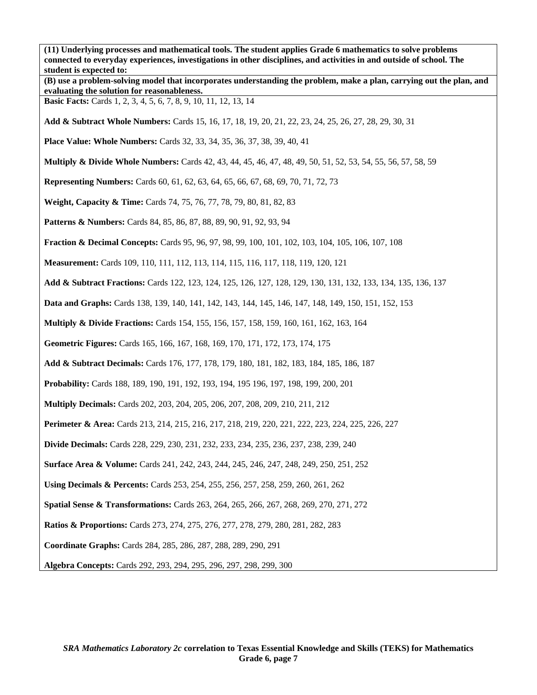**(11) Underlying processes and mathematical tools. The student applies Grade 6 mathematics to solve problems connected to everyday experiences, investigations in other disciplines, and activities in and outside of school. The student is expected to: (B) use a problem-solving model that incorporates understanding the problem, make a plan, carrying out the plan, and evaluating the solution for reasonableness. Basic Facts:** Cards 1, 2, 3, 4, 5, 6, 7, 8, 9, 10, 11, 12, 13, 14 **Add & Subtract Whole Numbers:** Cards 15, 16, 17, 18, 19, 20, 21, 22, 23, 24, 25, 26, 27, 28, 29, 30, 31 **Place Value: Whole Numbers:** Cards 32, 33, 34, 35, 36, 37, 38, 39, 40, 41 **Multiply & Divide Whole Numbers:** Cards 42, 43, 44, 45, 46, 47, 48, 49, 50, 51, 52, 53, 54, 55, 56, 57, 58, 59 **Representing Numbers:** Cards 60, 61, 62, 63, 64, 65, 66, 67, 68, 69, 70, 71, 72, 73 **Weight, Capacity & Time:** Cards 74, 75, 76, 77, 78, 79, 80, 81, 82, 83 Patterns & Numbers: Cards 84, 85, 86, 87, 88, 89, 90, 91, 92, 93, 94 **Fraction & Decimal Concepts:** Cards 95, 96, 97, 98, 99, 100, 101, 102, 103, 104, 105, 106, 107, 108 **Measurement:** Cards 109, 110, 111, 112, 113, 114, 115, 116, 117, 118, 119, 120, 121 **Add & Subtract Fractions:** Cards 122, 123, 124, 125, 126, 127, 128, 129, 130, 131, 132, 133, 134, 135, 136, 137 **Data and Graphs:** Cards 138, 139, 140, 141, 142, 143, 144, 145, 146, 147, 148, 149, 150, 151, 152, 153 **Multiply & Divide Fractions:** Cards 154, 155, 156, 157, 158, 159, 160, 161, 162, 163, 164 **Geometric Figures:** Cards 165, 166, 167, 168, 169, 170, 171, 172, 173, 174, 175 **Add & Subtract Decimals:** Cards 176, 177, 178, 179, 180, 181, 182, 183, 184, 185, 186, 187 **Probability:** Cards 188, 189, 190, 191, 192, 193, 194, 195 196, 197, 198, 199, 200, 201 **Multiply Decimals:** Cards 202, 203, 204, 205, 206, 207, 208, 209, 210, 211, 212 **Perimeter & Area:** Cards 213, 214, 215, 216, 217, 218, 219, 220, 221, 222, 223, 224, 225, 226, 227 **Divide Decimals:** Cards 228, 229, 230, 231, 232, 233, 234, 235, 236, 237, 238, 239, 240 **Surface Area & Volume:** Cards 241, 242, 243, 244, 245, 246, 247, 248, 249, 250, 251, 252 **Using Decimals & Percents:** Cards 253, 254, 255, 256, 257, 258, 259, 260, 261, 262 **Spatial Sense & Transformations:** Cards 263, 264, 265, 266, 267, 268, 269, 270, 271, 272 **Ratios & Proportions:** Cards 273, 274, 275, 276, 277, 278, 279, 280, 281, 282, 283 **Coordinate Graphs:** Cards 284, 285, 286, 287, 288, 289, 290, 291 **Algebra Concepts:** Cards 292, 293, 294, 295, 296, 297, 298, 299, 300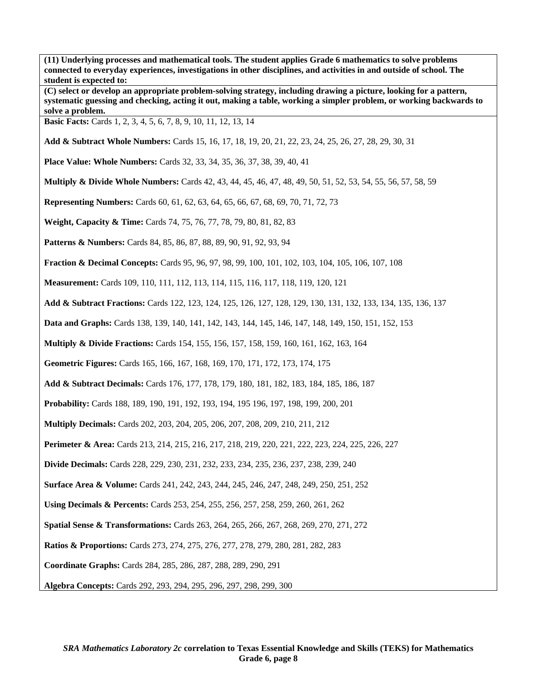**(11) Underlying processes and mathematical tools. The student applies Grade 6 mathematics to solve problems connected to everyday experiences, investigations in other disciplines, and activities in and outside of school. The student is expected to:** 

**(C) select or develop an appropriate problem-solving strategy, including drawing a picture, looking for a pattern, systematic guessing and checking, acting it out, making a table, working a simpler problem, or working backwards to solve a problem.** 

**Basic Facts:** Cards 1, 2, 3, 4, 5, 6, 7, 8, 9, 10, 11, 12, 13, 14

**Add & Subtract Whole Numbers:** Cards 15, 16, 17, 18, 19, 20, 21, 22, 23, 24, 25, 26, 27, 28, 29, 30, 31

**Place Value: Whole Numbers:** Cards 32, 33, 34, 35, 36, 37, 38, 39, 40, 41

**Multiply & Divide Whole Numbers:** Cards 42, 43, 44, 45, 46, 47, 48, 49, 50, 51, 52, 53, 54, 55, 56, 57, 58, 59

**Representing Numbers:** Cards 60, 61, 62, 63, 64, 65, 66, 67, 68, 69, 70, 71, 72, 73

**Weight, Capacity & Time:** Cards 74, 75, 76, 77, 78, 79, 80, 81, 82, 83

Patterns & Numbers: Cards 84, 85, 86, 87, 88, 89, 90, 91, 92, 93, 94

**Fraction & Decimal Concepts:** Cards 95, 96, 97, 98, 99, 100, 101, 102, 103, 104, 105, 106, 107, 108

**Measurement:** Cards 109, 110, 111, 112, 113, 114, 115, 116, 117, 118, 119, 120, 121

**Add & Subtract Fractions:** Cards 122, 123, 124, 125, 126, 127, 128, 129, 130, 131, 132, 133, 134, 135, 136, 137

**Data and Graphs:** Cards 138, 139, 140, 141, 142, 143, 144, 145, 146, 147, 148, 149, 150, 151, 152, 153

**Multiply & Divide Fractions:** Cards 154, 155, 156, 157, 158, 159, 160, 161, 162, 163, 164

**Geometric Figures:** Cards 165, 166, 167, 168, 169, 170, 171, 172, 173, 174, 175

**Add & Subtract Decimals:** Cards 176, 177, 178, 179, 180, 181, 182, 183, 184, 185, 186, 187

**Probability:** Cards 188, 189, 190, 191, 192, 193, 194, 195 196, 197, 198, 199, 200, 201

**Multiply Decimals:** Cards 202, 203, 204, 205, 206, 207, 208, 209, 210, 211, 212

**Perimeter & Area:** Cards 213, 214, 215, 216, 217, 218, 219, 220, 221, 222, 223, 224, 225, 226, 227

**Divide Decimals:** Cards 228, 229, 230, 231, 232, 233, 234, 235, 236, 237, 238, 239, 240

**Surface Area & Volume:** Cards 241, 242, 243, 244, 245, 246, 247, 248, 249, 250, 251, 252

**Using Decimals & Percents:** Cards 253, 254, 255, 256, 257, 258, 259, 260, 261, 262

**Spatial Sense & Transformations:** Cards 263, 264, 265, 266, 267, 268, 269, 270, 271, 272

**Ratios & Proportions:** Cards 273, 274, 275, 276, 277, 278, 279, 280, 281, 282, 283

**Coordinate Graphs:** Cards 284, 285, 286, 287, 288, 289, 290, 291

**Algebra Concepts:** Cards 292, 293, 294, 295, 296, 297, 298, 299, 300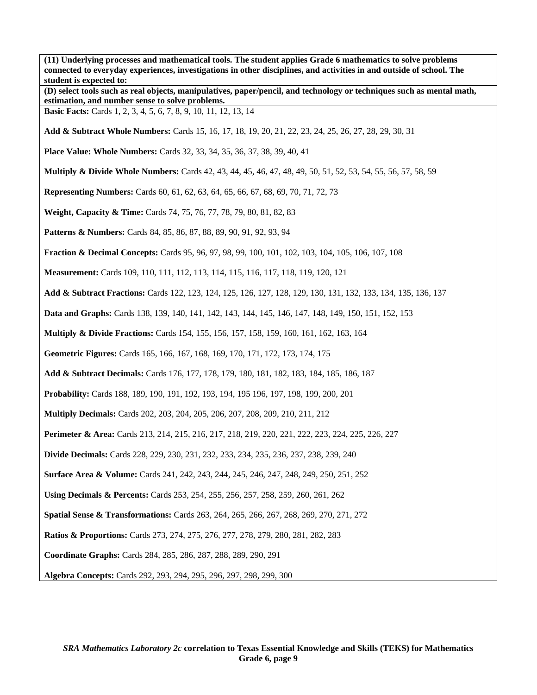**(11) Underlying processes and mathematical tools. The student applies Grade 6 mathematics to solve problems connected to everyday experiences, investigations in other disciplines, and activities in and outside of school. The student is expected to: (D) select tools such as real objects, manipulatives, paper/pencil, and technology or techniques such as mental math, estimation, and number sense to solve problems. Basic Facts:** Cards 1, 2, 3, 4, 5, 6, 7, 8, 9, 10, 11, 12, 13, 14 **Add & Subtract Whole Numbers:** Cards 15, 16, 17, 18, 19, 20, 21, 22, 23, 24, 25, 26, 27, 28, 29, 30, 31 **Place Value: Whole Numbers:** Cards 32, 33, 34, 35, 36, 37, 38, 39, 40, 41 **Multiply & Divide Whole Numbers:** Cards 42, 43, 44, 45, 46, 47, 48, 49, 50, 51, 52, 53, 54, 55, 56, 57, 58, 59 **Representing Numbers:** Cards 60, 61, 62, 63, 64, 65, 66, 67, 68, 69, 70, 71, 72, 73 **Weight, Capacity & Time:** Cards 74, 75, 76, 77, 78, 79, 80, 81, 82, 83 Patterns & Numbers: Cards 84, 85, 86, 87, 88, 89, 90, 91, 92, 93, 94 **Fraction & Decimal Concepts:** Cards 95, 96, 97, 98, 99, 100, 101, 102, 103, 104, 105, 106, 107, 108 **Measurement:** Cards 109, 110, 111, 112, 113, 114, 115, 116, 117, 118, 119, 120, 121 **Add & Subtract Fractions:** Cards 122, 123, 124, 125, 126, 127, 128, 129, 130, 131, 132, 133, 134, 135, 136, 137 **Data and Graphs:** Cards 138, 139, 140, 141, 142, 143, 144, 145, 146, 147, 148, 149, 150, 151, 152, 153 **Multiply & Divide Fractions:** Cards 154, 155, 156, 157, 158, 159, 160, 161, 162, 163, 164 **Geometric Figures:** Cards 165, 166, 167, 168, 169, 170, 171, 172, 173, 174, 175 **Add & Subtract Decimals:** Cards 176, 177, 178, 179, 180, 181, 182, 183, 184, 185, 186, 187 **Probability:** Cards 188, 189, 190, 191, 192, 193, 194, 195 196, 197, 198, 199, 200, 201 **Multiply Decimals:** Cards 202, 203, 204, 205, 206, 207, 208, 209, 210, 211, 212 **Perimeter & Area:** Cards 213, 214, 215, 216, 217, 218, 219, 220, 221, 222, 223, 224, 225, 226, 227 **Divide Decimals:** Cards 228, 229, 230, 231, 232, 233, 234, 235, 236, 237, 238, 239, 240 **Surface Area & Volume:** Cards 241, 242, 243, 244, 245, 246, 247, 248, 249, 250, 251, 252 **Using Decimals & Percents:** Cards 253, 254, 255, 256, 257, 258, 259, 260, 261, 262 **Spatial Sense & Transformations:** Cards 263, 264, 265, 266, 267, 268, 269, 270, 271, 272 **Ratios & Proportions:** Cards 273, 274, 275, 276, 277, 278, 279, 280, 281, 282, 283 **Coordinate Graphs:** Cards 284, 285, 286, 287, 288, 289, 290, 291 **Algebra Concepts:** Cards 292, 293, 294, 295, 296, 297, 298, 299, 300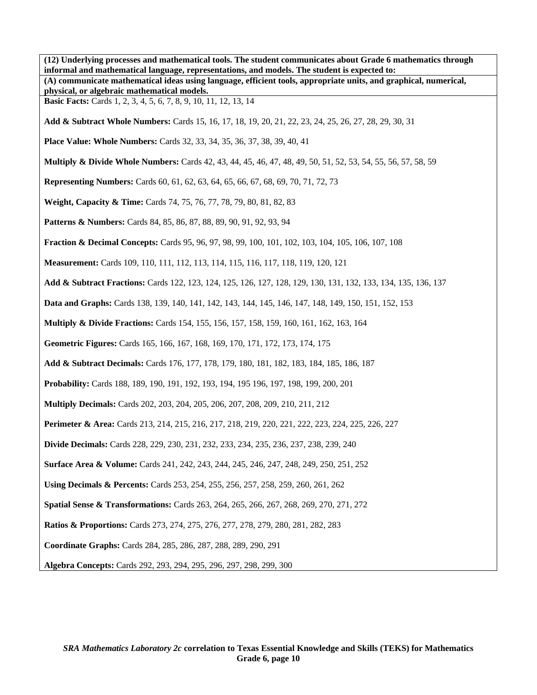**(12) Underlying processes and mathematical tools. The student communicates about Grade 6 mathematics through informal and mathematical language, representations, and models. The student is expected to: (A) communicate mathematical ideas using language, efficient tools, appropriate units, and graphical, numerical, physical, or algebraic mathematical models. Basic Facts:** Cards 1, 2, 3, 4, 5, 6, 7, 8, 9, 10, 11, 12, 13, 14 **Add & Subtract Whole Numbers:** Cards 15, 16, 17, 18, 19, 20, 21, 22, 23, 24, 25, 26, 27, 28, 29, 30, 31 **Place Value: Whole Numbers:** Cards 32, 33, 34, 35, 36, 37, 38, 39, 40, 41 **Multiply & Divide Whole Numbers:** Cards 42, 43, 44, 45, 46, 47, 48, 49, 50, 51, 52, 53, 54, 55, 56, 57, 58, 59 **Representing Numbers:** Cards 60, 61, 62, 63, 64, 65, 66, 67, 68, 69, 70, 71, 72, 73 **Weight, Capacity & Time:** Cards 74, 75, 76, 77, 78, 79, 80, 81, 82, 83 Patterns & Numbers: Cards 84, 85, 86, 87, 88, 89, 90, 91, 92, 93, 94 **Fraction & Decimal Concepts:** Cards 95, 96, 97, 98, 99, 100, 101, 102, 103, 104, 105, 106, 107, 108 **Measurement:** Cards 109, 110, 111, 112, 113, 114, 115, 116, 117, 118, 119, 120, 121 **Add & Subtract Fractions:** Cards 122, 123, 124, 125, 126, 127, 128, 129, 130, 131, 132, 133, 134, 135, 136, 137 **Data and Graphs:** Cards 138, 139, 140, 141, 142, 143, 144, 145, 146, 147, 148, 149, 150, 151, 152, 153 **Multiply & Divide Fractions:** Cards 154, 155, 156, 157, 158, 159, 160, 161, 162, 163, 164 **Geometric Figures:** Cards 165, 166, 167, 168, 169, 170, 171, 172, 173, 174, 175 **Add & Subtract Decimals:** Cards 176, 177, 178, 179, 180, 181, 182, 183, 184, 185, 186, 187 **Probability:** Cards 188, 189, 190, 191, 192, 193, 194, 195 196, 197, 198, 199, 200, 201 **Multiply Decimals:** Cards 202, 203, 204, 205, 206, 207, 208, 209, 210, 211, 212 **Perimeter & Area:** Cards 213, 214, 215, 216, 217, 218, 219, 220, 221, 222, 223, 224, 225, 226, 227 **Divide Decimals:** Cards 228, 229, 230, 231, 232, 233, 234, 235, 236, 237, 238, 239, 240 **Surface Area & Volume:** Cards 241, 242, 243, 244, 245, 246, 247, 248, 249, 250, 251, 252 **Using Decimals & Percents:** Cards 253, 254, 255, 256, 257, 258, 259, 260, 261, 262 **Spatial Sense & Transformations:** Cards 263, 264, 265, 266, 267, 268, 269, 270, 271, 272 **Ratios & Proportions:** Cards 273, 274, 275, 276, 277, 278, 279, 280, 281, 282, 283 **Coordinate Graphs:** Cards 284, 285, 286, 287, 288, 289, 290, 291 **Algebra Concepts:** Cards 292, 293, 294, 295, 296, 297, 298, 299, 300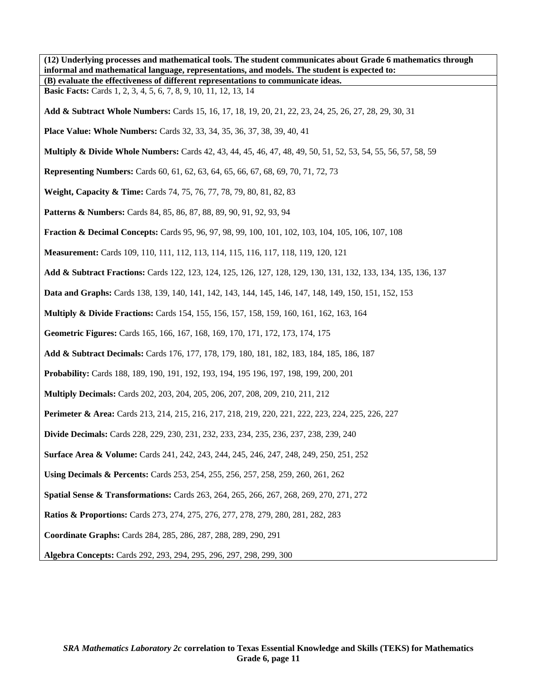| (12) Underlying processes and mathematical tools. The student communicates about Grade 6 mathematics through<br>informal and mathematical language, representations, and models. The student is expected to: |
|--------------------------------------------------------------------------------------------------------------------------------------------------------------------------------------------------------------|
| (B) evaluate the effectiveness of different representations to communicate ideas.                                                                                                                            |
| <b>Basic Facts:</b> Cards 1, 2, 3, 4, 5, 6, 7, 8, 9, 10, 11, 12, 13, 14                                                                                                                                      |
| Add & Subtract Whole Numbers: Cards 15, 16, 17, 18, 19, 20, 21, 22, 23, 24, 25, 26, 27, 28, 29, 30, 31                                                                                                       |
| <b>Place Value: Whole Numbers:</b> Cards 32, 33, 34, 35, 36, 37, 38, 39, 40, 41                                                                                                                              |
| Multiply & Divide Whole Numbers: Cards 42, 43, 44, 45, 46, 47, 48, 49, 50, 51, 52, 53, 54, 55, 56, 57, 58, 59                                                                                                |
| <b>Representing Numbers:</b> Cards 60, 61, 62, 63, 64, 65, 66, 67, 68, 69, 70, 71, 72, 73                                                                                                                    |
| Weight, Capacity & Time: Cards 74, 75, 76, 77, 78, 79, 80, 81, 82, 83                                                                                                                                        |
| <b>Patterns &amp; Numbers:</b> Cards 84, 85, 86, 87, 88, 89, 90, 91, 92, 93, 94                                                                                                                              |
| <b>Fraction &amp; Decimal Concepts:</b> Cards 95, 96, 97, 98, 99, 100, 101, 102, 103, 104, 105, 106, 107, 108                                                                                                |
| Measurement: Cards 109, 110, 111, 112, 113, 114, 115, 116, 117, 118, 119, 120, 121                                                                                                                           |
| Add & Subtract Fractions: Cards 122, 123, 124, 125, 126, 127, 128, 129, 130, 131, 132, 133, 134, 135, 136, 137                                                                                               |
| Data and Graphs: Cards 138, 139, 140, 141, 142, 143, 144, 145, 146, 147, 148, 149, 150, 151, 152, 153                                                                                                        |
| Multiply & Divide Fractions: Cards 154, 155, 156, 157, 158, 159, 160, 161, 162, 163, 164                                                                                                                     |
| Geometric Figures: Cards 165, 166, 167, 168, 169, 170, 171, 172, 173, 174, 175                                                                                                                               |
| Add & Subtract Decimals: Cards 176, 177, 178, 179, 180, 181, 182, 183, 184, 185, 186, 187                                                                                                                    |
| Probability: Cards 188, 189, 190, 191, 192, 193, 194, 195 196, 197, 198, 199, 200, 201                                                                                                                       |
| <b>Multiply Decimals:</b> Cards 202, 203, 204, 205, 206, 207, 208, 209, 210, 211, 212                                                                                                                        |
| Perimeter & Area: Cards 213, 214, 215, 216, 217, 218, 219, 220, 221, 222, 223, 224, 225, 226, 227                                                                                                            |
| <b>Divide Decimals:</b> Cards 228, 229, 230, 231, 232, 233, 234, 235, 236, 237, 238, 239, 240                                                                                                                |
| <b>Surface Area &amp; Volume:</b> Cards 241, 242, 243, 244, 245, 246, 247, 248, 249, 250, 251, 252                                                                                                           |
| Using Decimals & Percents: Cards 253, 254, 255, 256, 257, 258, 259, 260, 261, 262                                                                                                                            |
| Spatial Sense & Transformations: Cards 263, 264, 265, 266, 267, 268, 269, 270, 271, 272                                                                                                                      |
| <b>Ratios &amp; Proportions:</b> Cards 273, 274, 275, 276, 277, 278, 279, 280, 281, 282, 283                                                                                                                 |
| Coordinate Graphs: Cards 284, 285, 286, 287, 288, 289, 290, 291                                                                                                                                              |
| Algebra Concepts: Cards 292, 293, 294, 295, 296, 297, 298, 299, 300                                                                                                                                          |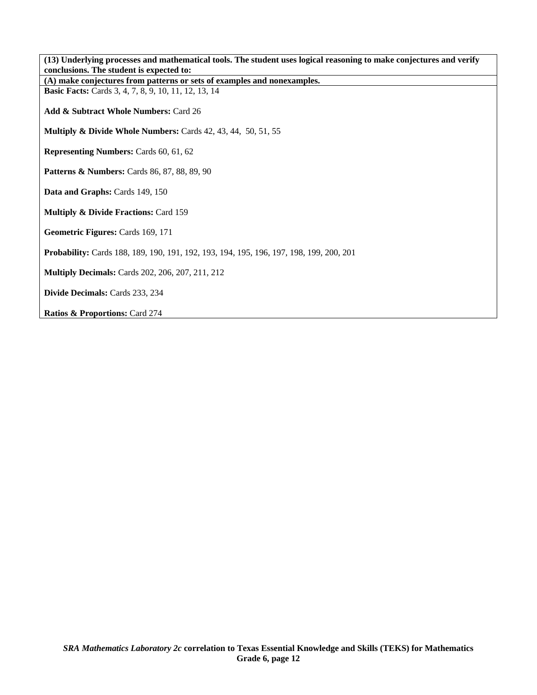| (13) Underlying processes and mathematical tools. The student uses logical reasoning to make conjectures and verify |
|---------------------------------------------------------------------------------------------------------------------|
| conclusions. The student is expected to:                                                                            |
| (A) make conjectures from patterns or sets of examples and nonexamples.                                             |
| <b>Basic Facts:</b> Cards 3, 4, 7, 8, 9, 10, 11, 12, 13, 14                                                         |
|                                                                                                                     |
| Add & Subtract Whole Numbers: Card 26                                                                               |
|                                                                                                                     |
| Multiply & Divide Whole Numbers: Cards 42, 43, 44, 50, 51, 55                                                       |
|                                                                                                                     |
| <b>Representing Numbers:</b> Cards 60, 61, 62                                                                       |
|                                                                                                                     |
| <b>Patterns &amp; Numbers:</b> Cards 86, 87, 88, 89, 90                                                             |
|                                                                                                                     |
|                                                                                                                     |
| Data and Graphs: Cards 149, 150                                                                                     |
|                                                                                                                     |
| <b>Multiply &amp; Divide Fractions: Card 159</b>                                                                    |
|                                                                                                                     |
| Geometric Figures: Cards 169, 171                                                                                   |
|                                                                                                                     |
| Probability: Cards 188, 189, 190, 191, 192, 193, 194, 195, 196, 197, 198, 199, 200, 201                             |
|                                                                                                                     |
| <b>Multiply Decimals:</b> Cards 202, 206, 207, 211, 212                                                             |
|                                                                                                                     |
| Divide Decimals: Cards 233, 234                                                                                     |
|                                                                                                                     |
| Ratios & Proportions: Card 274                                                                                      |
|                                                                                                                     |